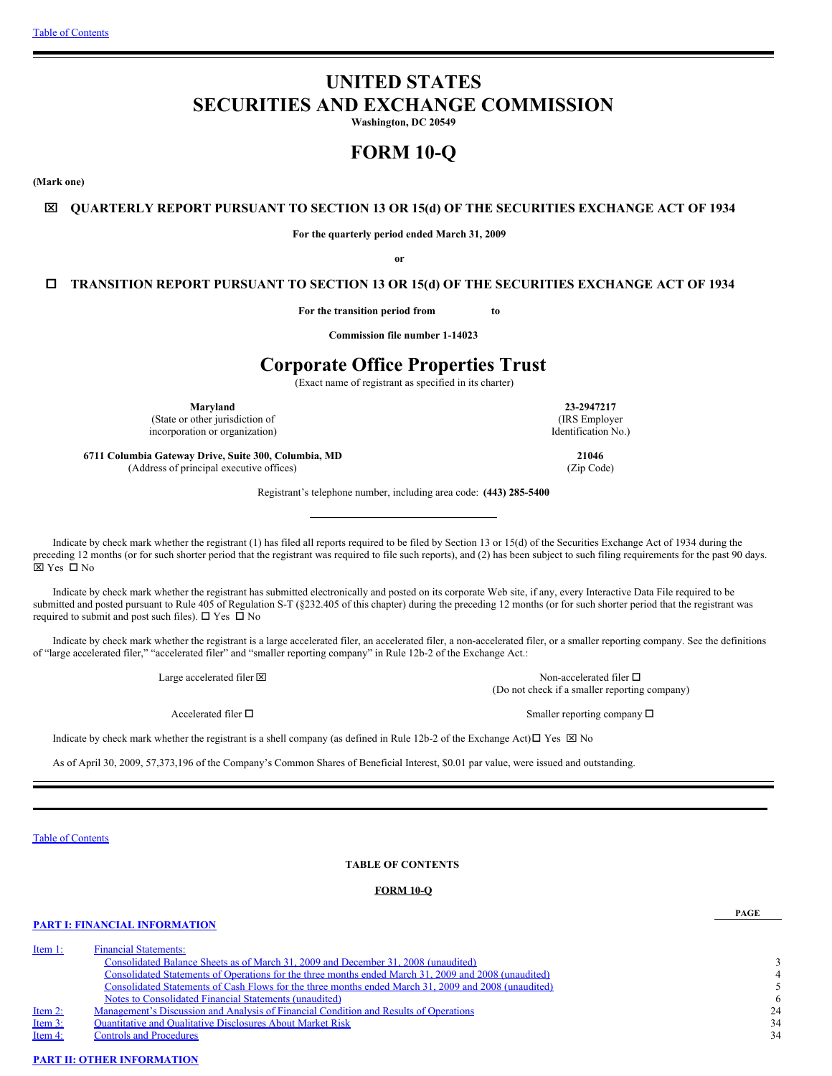# **UNITED STATES SECURITIES AND EXCHANGE COMMISSION**

**Washington, DC 20549**

# **FORM 10-Q**

**(Mark one)**

# x **QUARTERLY REPORT PURSUANT TO SECTION 13 OR 15(d) OF THE SECURITIES EXCHANGE ACT OF 1934**

**For the quarterly period ended March 31, 2009**

**or**

# o **TRANSITION REPORT PURSUANT TO SECTION 13 OR 15(d) OF THE SECURITIES EXCHANGE ACT OF 1934**

**For the transition period from to**

**Commission file number 1-14023**

# **Corporate Office Properties Trust**

(Exact name of registrant as specified in its charter)

**Maryland 23-2947217**

(State or other jurisdiction of (IRS Employer incorporation or organization) Identification No.)

**6711 Columbia Gateway Drive, Suite 300, Columbia, MD 21046** (Address of principal executive offices) (Zip Code)

Registrant's telephone number, including area code: **(443) 285-5400**

Indicate by check mark whether the registrant (1) has filed all reports required to be filed by Section 13 or 15(d) of the Securities Exchange Act of 1934 during the preceding 12 months (or for such shorter period that the registrant was required to file such reports), and (2) has been subject to such filing requirements for the past 90 days.  $\overline{\boxtimes}$  Yes  $\overline{\Box}$  No

Indicate by check mark whether the registrant has submitted electronically and posted on its corporate Web site, if any, every Interactive Data File required to be submitted and posted pursuant to Rule 405 of Regulation S-T (§232.405 of this chapter) during the preceding 12 months (or for such shorter period that the registrant was required to submit and post such files).  $\Box$  Yes  $\Box$  No

Indicate by check mark whether the registrant is a large accelerated filer, an accelerated filer, a non-accelerated filer, or a smaller reporting company. See the definitions of "large accelerated filer," "accelerated filer" and "smaller reporting company" in Rule 12b-2 of the Exchange Act.:

Indicate by check mark whether the registrant is a shell company (as defined in Rule 12b-2 of the Exchange Act) $\square$  Yes  $\square$  No

As of April 30, 2009, 57,373,196 of the Company's Common Shares of Beneficial Interest, \$0.01 par value, were issued and outstanding.

Table of [Contents](#page-0-0)

**TABLE OF CONTENTS**

# <span id="page-0-0"></span>**FORM 10-Q**

# **PART I: FINANCIAL [INFORMATION](#page-1-0)**

| Item 1:    | <b>Financial Statements:</b>                                                                         |    |
|------------|------------------------------------------------------------------------------------------------------|----|
|            | Consolidated Balance Sheets as of March 31, 2009 and December 31, 2008 (unaudited)                   |    |
|            | Consolidated Statements of Operations for the three months ended March 31, 2009 and 2008 (unaudited) |    |
|            | Consolidated Statements of Cash Flows for the three months ended March 31, 2009 and 2008 (unaudited) |    |
|            | Notes to Consolidated Financial Statements (unaudited)                                               | 6  |
| Item $2$ : | Management's Discussion and Analysis of Financial Condition and Results of Operations                | 24 |
| Item $3$ : | <b>Quantitative and Qualitative Disclosures About Market Risk</b>                                    | 34 |
| Item 4:    | <b>Controls and Procedures</b>                                                                       | 34 |

# **PART II: OTHER [INFORMATION](#page-19-1)**

Accelerated filer  $\square$ 

Large accelerated filer  $\boxtimes$ (Do not check if a smaller reporting company)

**PAGE**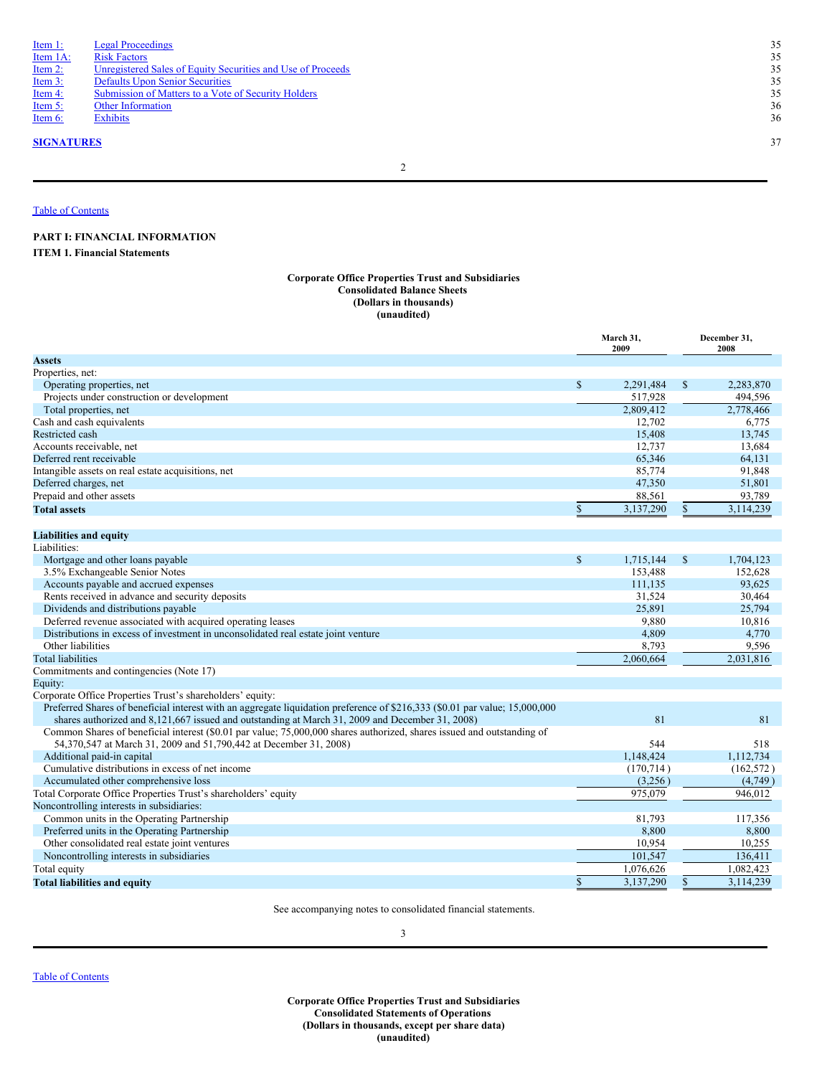- <u>[Item](#page-20-1) 5:</u> Other [Information](#page-20-1) 36<br>
<u>Item 6:</u> Exhibits 36 **[Item](#page-20-2) 6:** [Exhibits](#page-20-2) **Exhibits** 36
- 

# **[SIGNATURES](#page-20-3)** 37

<span id="page-1-2"></span>2

# Table of [Contents](#page-0-0)

# **PART I: FINANCIAL INFORMATION**

# **ITEM 1. Financial Statements**

# <span id="page-1-1"></span><span id="page-1-0"></span>**Corporate Office Properties Trust and Subsidiaries Consolidated Balance Sheets (Dollars in thousands) (unaudited)**

|                                                                                                                             | March 31,<br>2009 |            |              | December 31,<br>2008 |  |
|-----------------------------------------------------------------------------------------------------------------------------|-------------------|------------|--------------|----------------------|--|
| <b>Assets</b>                                                                                                               |                   |            |              |                      |  |
| Properties, net:                                                                                                            |                   |            |              |                      |  |
| Operating properties, net                                                                                                   | $\mathbb{S}$      | 2,291,484  | $\mathbb{S}$ | 2,283,870            |  |
| Projects under construction or development                                                                                  |                   | 517,928    |              | 494,596              |  |
| Total properties, net                                                                                                       |                   | 2,809,412  |              | 2,778,466            |  |
| Cash and cash equivalents                                                                                                   |                   | 12,702     |              | 6,775                |  |
| <b>Restricted cash</b>                                                                                                      |                   | 15,408     |              | 13,745               |  |
| Accounts receivable, net                                                                                                    |                   | 12,737     |              | 13,684               |  |
| Deferred rent receivable                                                                                                    |                   | 65,346     |              | 64,131               |  |
| Intangible assets on real estate acquisitions, net                                                                          |                   | 85,774     |              | 91.848               |  |
| Deferred charges, net                                                                                                       |                   | 47,350     |              | 51,801               |  |
| Prepaid and other assets                                                                                                    |                   | 88,561     |              | 93,789               |  |
| <b>Total assets</b>                                                                                                         | \$                | 3,137,290  | $\mathbb{S}$ | 3,114,239            |  |
|                                                                                                                             |                   |            |              |                      |  |
| <b>Liabilities and equity</b>                                                                                               |                   |            |              |                      |  |
| Liabilities:                                                                                                                |                   |            |              |                      |  |
| Mortgage and other loans payable                                                                                            | $\mathbb{S}$      | 1,715,144  | $\mathbb{S}$ | 1,704,123            |  |
| 3.5% Exchangeable Senior Notes                                                                                              |                   | 153,488    |              | 152,628              |  |
| Accounts payable and accrued expenses                                                                                       |                   | 111,135    |              | 93,625               |  |
| Rents received in advance and security deposits                                                                             |                   | 31,524     |              | 30,464               |  |
| Dividends and distributions payable                                                                                         |                   | 25,891     |              | 25,794               |  |
| Deferred revenue associated with acquired operating leases                                                                  |                   | 9,880      |              | 10,816               |  |
| Distributions in excess of investment in unconsolidated real estate joint venture                                           |                   | 4,809      |              | 4,770                |  |
| Other liabilities                                                                                                           |                   | 8,793      |              | 9,596                |  |
| <b>Total liabilities</b>                                                                                                    |                   | 2.060.664  |              | 2,031,816            |  |
| Commitments and contingencies (Note 17)                                                                                     |                   |            |              |                      |  |
| Equity:                                                                                                                     |                   |            |              |                      |  |
| Corporate Office Properties Trust's shareholders' equity:                                                                   |                   |            |              |                      |  |
| Preferred Shares of beneficial interest with an aggregate liquidation preference of \$216,333 (\$0.01 par value; 15,000,000 |                   |            |              |                      |  |
| shares authorized and 8,121,667 issued and outstanding at March 31, 2009 and December 31, 2008)                             |                   | 81         |              | 81                   |  |
| Common Shares of beneficial interest (\$0.01 par value; 75,000,000 shares authorized, shares issued and outstanding of      |                   |            |              |                      |  |
| 54,370,547 at March 31, 2009 and 51,790,442 at December 31, 2008)                                                           |                   | 544        |              | 518                  |  |
| Additional paid-in capital                                                                                                  |                   | 1,148,424  |              | 1,112,734            |  |
| Cumulative distributions in excess of net income                                                                            |                   | (170, 714) |              | (162, 572)           |  |
| Accumulated other comprehensive loss                                                                                        |                   | (3,256)    |              | (4,749)              |  |
| Total Corporate Office Properties Trust's shareholders' equity                                                              |                   | 975,079    |              | 946,012              |  |
| Noncontrolling interests in subsidiaries:                                                                                   |                   |            |              |                      |  |
| Common units in the Operating Partnership                                                                                   |                   | 81,793     |              | 117,356              |  |
| Preferred units in the Operating Partnership                                                                                |                   | 8,800      |              | 8,800                |  |
| Other consolidated real estate joint ventures                                                                               |                   | 10,954     |              | 10,255               |  |
| Noncontrolling interests in subsidiaries                                                                                    |                   | 101.547    |              | 136,411              |  |
| Total equity                                                                                                                |                   | 1,076,626  |              | 1,082,423            |  |
| <b>Total liabilities and equity</b>                                                                                         | $\mathbb{S}$      | 3,137,290  | $\mathbb{S}$ | 3,114,239            |  |

See accompanying notes to consolidated financial statements.

<span id="page-1-3"></span>3

**Corporate Office Properties Trust and Subsidiaries Consolidated Statements of Operations (Dollars in thousands, except per share data) (unaudited)**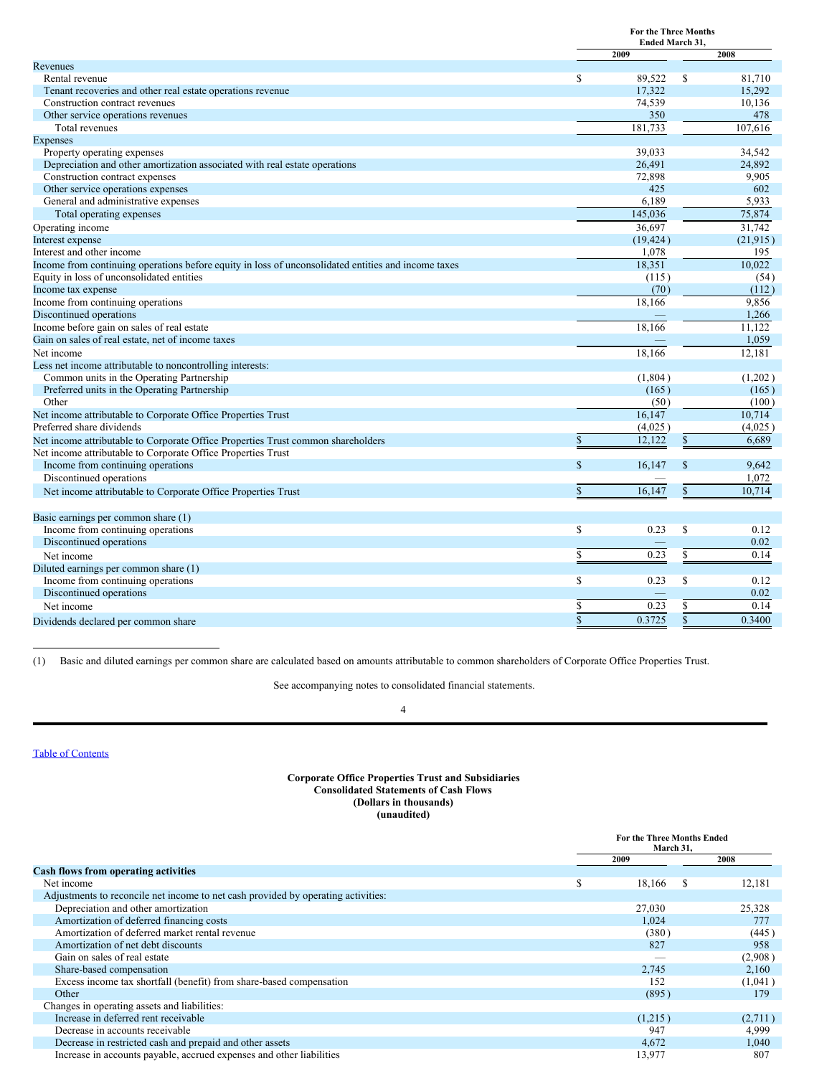|                                                                                                     | <b>For the Three Months</b><br>Ended March 31, |           |              |           |
|-----------------------------------------------------------------------------------------------------|------------------------------------------------|-----------|--------------|-----------|
|                                                                                                     |                                                | 2009      |              | 2008      |
| Revenues                                                                                            |                                                |           |              |           |
| Rental revenue                                                                                      | S                                              | 89,522    | \$           | 81,710    |
| Tenant recoveries and other real estate operations revenue                                          |                                                | 17,322    |              | 15,292    |
| Construction contract revenues                                                                      |                                                | 74,539    |              | 10.136    |
| Other service operations revenues                                                                   |                                                | 350       |              | 478       |
| Total revenues                                                                                      |                                                | 181,733   |              | 107.616   |
| Expenses                                                                                            |                                                |           |              |           |
| Property operating expenses                                                                         |                                                | 39.033    |              | 34,542    |
| Depreciation and other amortization associated with real estate operations                          |                                                | 26,491    |              | 24,892    |
| Construction contract expenses                                                                      |                                                | 72,898    |              | 9,905     |
| Other service operations expenses                                                                   |                                                | 425       |              | 602       |
| General and administrative expenses                                                                 |                                                | 6,189     |              | 5,933     |
| Total operating expenses                                                                            |                                                | 145.036   |              | 75,874    |
| Operating income                                                                                    |                                                | 36,697    |              | 31,742    |
| Interest expense                                                                                    |                                                | (19, 424) |              | (21, 915) |
| Interest and other income                                                                           |                                                | 1,078     |              | 195       |
| Income from continuing operations before equity in loss of unconsolidated entities and income taxes |                                                | 18.351    |              | 10.022    |
| Equity in loss of unconsolidated entities                                                           |                                                | (115)     |              | (54)      |
| Income tax expense                                                                                  |                                                | (70)      |              | (112)     |
| Income from continuing operations                                                                   |                                                | 18,166    |              | 9.856     |
| Discontinued operations                                                                             |                                                |           |              | 1,266     |
| Income before gain on sales of real estate                                                          |                                                | 18,166    |              | 11.122    |
| Gain on sales of real estate, net of income taxes                                                   |                                                |           |              | 1,059     |
| Net income                                                                                          |                                                | 18,166    |              | 12.181    |
| Less net income attributable to noncontrolling interests:                                           |                                                |           |              |           |
| Common units in the Operating Partnership                                                           |                                                | (1, 804)  |              | (1,202)   |
| Preferred units in the Operating Partnership                                                        |                                                | (165)     |              | (165)     |
| Other                                                                                               |                                                | (50)      |              | (100)     |
| Net income attributable to Corporate Office Properties Trust                                        |                                                | 16,147    |              | 10,714    |
| Preferred share dividends                                                                           |                                                | (4,025)   |              | (4,025)   |
| Net income attributable to Corporate Office Properties Trust common shareholders                    | $\mathbb{S}$                                   | 12.122    | $\mathbb{S}$ | 6.689     |
| Net income attributable to Corporate Office Properties Trust                                        |                                                |           |              |           |
| Income from continuing operations                                                                   | <sup>\$</sup>                                  | 16,147    | $\mathbb{S}$ | 9.642     |
| Discontinued operations                                                                             |                                                |           |              | 1,072     |
| Net income attributable to Corporate Office Properties Trust                                        | $\mathbb{S}$                                   | 16,147    | $\mathbb{S}$ | 10,714    |
|                                                                                                     |                                                |           |              |           |
| Basic earnings per common share (1)                                                                 |                                                |           |              |           |
| Income from continuing operations                                                                   | $\mathbb{S}$                                   | 0.23      | $\mathbb S$  | 0.12      |
| Discontinued operations                                                                             |                                                |           |              | 0.02      |
| Net income                                                                                          | S                                              | 0.23      | \$           | 0.14      |
| Diluted earnings per common share (1)                                                               |                                                |           |              |           |
| Income from continuing operations                                                                   | S                                              | 0.23      | \$           | 0.12      |
| Discontinued operations                                                                             |                                                |           |              | 0.02      |
| Net income                                                                                          | \$                                             | 0.23      | S            | 0.14      |
|                                                                                                     | $\$$                                           | 0.3725    | \$           | 0.3400    |
| Dividends declared per common share                                                                 |                                                |           |              |           |

(1) Basic and diluted earnings per common share are calculated based on amounts attributable to common shareholders of Corporate Office Properties Trust.

See accompanying notes to consolidated financial statements.

<span id="page-2-0"></span>4

Table of [Contents](#page-0-0)

# **Corporate Office Properties Trust and Subsidiaries Consolidated Statements of Cash Flows (Dollars in thousands) (unaudited)**

|                                                                                   |   | <b>For the Three Months Ended</b><br>March 31, |         |  |
|-----------------------------------------------------------------------------------|---|------------------------------------------------|---------|--|
|                                                                                   |   | 2009                                           | 2008    |  |
| <b>Cash flows from operating activities</b>                                       |   |                                                |         |  |
| Net income                                                                        | S | 18,166<br>S                                    | 12,181  |  |
| Adjustments to reconcile net income to net cash provided by operating activities: |   |                                                |         |  |
| Depreciation and other amortization                                               |   | 27,030                                         | 25,328  |  |
| Amortization of deferred financing costs                                          |   | 1,024                                          | 777     |  |
| Amortization of deferred market rental revenue                                    |   | (380)                                          | (445)   |  |
| Amortization of net debt discounts                                                |   | 827                                            | 958     |  |
| Gain on sales of real estate                                                      |   |                                                | (2,908) |  |
| Share-based compensation                                                          |   | 2,745                                          | 2,160   |  |
| Excess income tax shortfall (benefit) from share-based compensation               |   | 152                                            | (1,041) |  |
| Other                                                                             |   | (895)                                          | 179     |  |
| Changes in operating assets and liabilities:                                      |   |                                                |         |  |
| Increase in deferred rent receivable                                              |   | (1,215)                                        | (2,711) |  |
| Decrease in accounts receivable                                                   |   | 947                                            | 4,999   |  |
| Decrease in restricted cash and prepaid and other assets                          |   | 4,672                                          | 1,040   |  |
| Increase in accounts payable, accrued expenses and other liabilities              |   | 13,977                                         | 807     |  |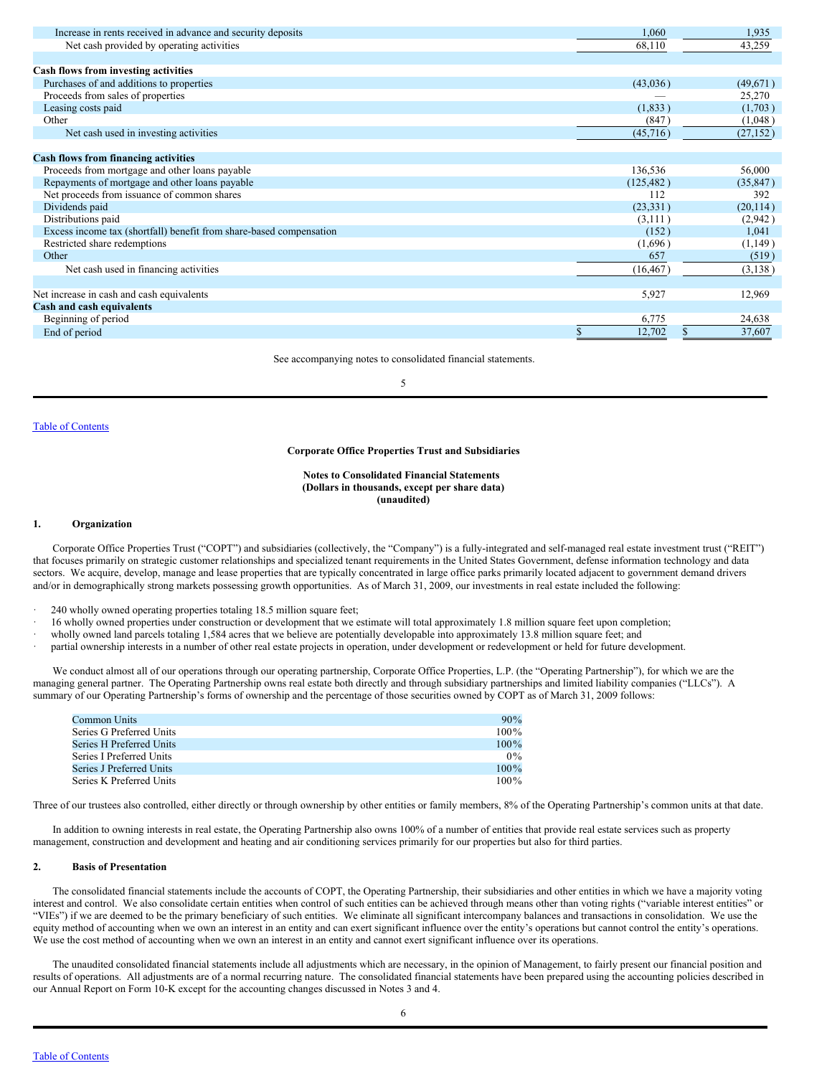| Increase in rents received in advance and security deposits         | 1,060       | 1,935       |
|---------------------------------------------------------------------|-------------|-------------|
| Net cash provided by operating activities                           | 68,110      | 43,259      |
|                                                                     |             |             |
| Cash flows from investing activities                                |             |             |
| Purchases of and additions to properties                            | (43,036)    | (49,671)    |
| Proceeds from sales of properties                                   |             | 25,270      |
| Leasing costs paid                                                  | (1,833)     | (1,703)     |
| Other                                                               | (847)       | (1,048)     |
| Net cash used in investing activities                               | (45,716)    | (27, 152)   |
|                                                                     |             |             |
| <b>Cash flows from financing activities</b>                         |             |             |
| Proceeds from mortgage and other loans payable                      | 136,536     | 56,000      |
| Repayments of mortgage and other loans payable                      | (125, 482)  | (35, 847)   |
| Net proceeds from issuance of common shares                         | 112         | 392         |
| Dividends paid                                                      | (23, 331)   | (20, 114)   |
| Distributions paid                                                  | (3,111)     | (2,942)     |
| Excess income tax (shortfall) benefit from share-based compensation | (152)       | 1,041       |
| Restricted share redemptions                                        | (1,696)     | (1,149)     |
| Other                                                               | 657         | (519)       |
| Net cash used in financing activities                               | (16, 467)   | (3,138)     |
|                                                                     |             |             |
| Net increase in cash and cash equivalents                           | 5,927       | 12,969      |
| Cash and cash equivalents                                           |             |             |
| Beginning of period                                                 | 6,775       | 24,638      |
| End of period                                                       | 12,702<br>S | 37,607<br>S |
|                                                                     |             |             |

See accompanying notes to consolidated financial statements.

<span id="page-3-0"></span>5

Table of [Contents](#page-0-0)

#### **Corporate Office Properties Trust and Subsidiaries**

**Notes to Consolidated Financial Statements (Dollars in thousands, except per share data) (unaudited)**

## **1. Organization**

Corporate Office Properties Trust ("COPT") and subsidiaries (collectively, the "Company") is a fully-integrated and self-managed real estate investment trust ("REIT") that focuses primarily on strategic customer relationships and specialized tenant requirements in the United States Government, defense information technology and data sectors. We acquire, develop, manage and lease properties that are typically concentrated in large office parks primarily located adjacent to government demand drivers and/or in demographically strong markets possessing growth opportunities. As of March 31, 2009, our investments in real estate included the following:

- 240 wholly owned operating properties totaling 18.5 million square feet;
- · 16 wholly owned properties under construction or development that we estimate will total approximately 1.8 million square feet upon completion;
- · wholly owned land parcels totaling 1,584 acres that we believe are potentially developable into approximately 13.8 million square feet; and
- · partial ownership interests in a number of other real estate projects in operation, under development or redevelopment or held for future development.

We conduct almost all of our operations through our operating partnership, Corporate Office Properties, L.P. (the "Operating Partnership"), for which we are the managing general partner. The Operating Partnership owns real estate both directly and through subsidiary partnerships and limited liability companies ("LLCs"). A summary of our Operating Partnership's forms of ownership and the percentage of those securities owned by COPT as of March 31, 2009 follows:

| Common Units             | 90%     |
|--------------------------|---------|
| Series G Preferred Units | $100\%$ |
| Series H Preferred Units | $100\%$ |
| Series I Preferred Units | $0\%$   |
| Series J Preferred Units | $100\%$ |
| Series K Preferred Units | $100\%$ |

Three of our trustees also controlled, either directly or through ownership by other entities or family members, 8% of the Operating Partnership's common units at that date.

In addition to owning interests in real estate, the Operating Partnership also owns 100% of a number of entities that provide real estate services such as property management, construction and development and heating and air conditioning services primarily for our properties but also for third parties.

#### **2. Basis of Presentation**

The consolidated financial statements include the accounts of COPT, the Operating Partnership, their subsidiaries and other entities in which we have a majority voting interest and control. We also consolidate certain entities when control of such entities can be achieved through means other than voting rights ("variable interest entities" or "VIEs") if we are deemed to be the primary beneficiary of such entities. We eliminate all significant intercompany balances and transactions in consolidation. We use the equity method of accounting when we own an interest in an entity and can exert significant influence over the entity's operations but cannot control the entity's operations. We use the cost method of accounting when we own an interest in an entity and cannot exert significant influence over its operations.

The unaudited consolidated financial statements include all adjustments which are necessary, in the opinion of Management, to fairly present our financial position and results of operations. All adjustments are of a normal recurring nature. The consolidated financial statements have been prepared using the accounting policies described in our Annual Report on Form 10-K except for the accounting changes discussed in Notes 3 and 4.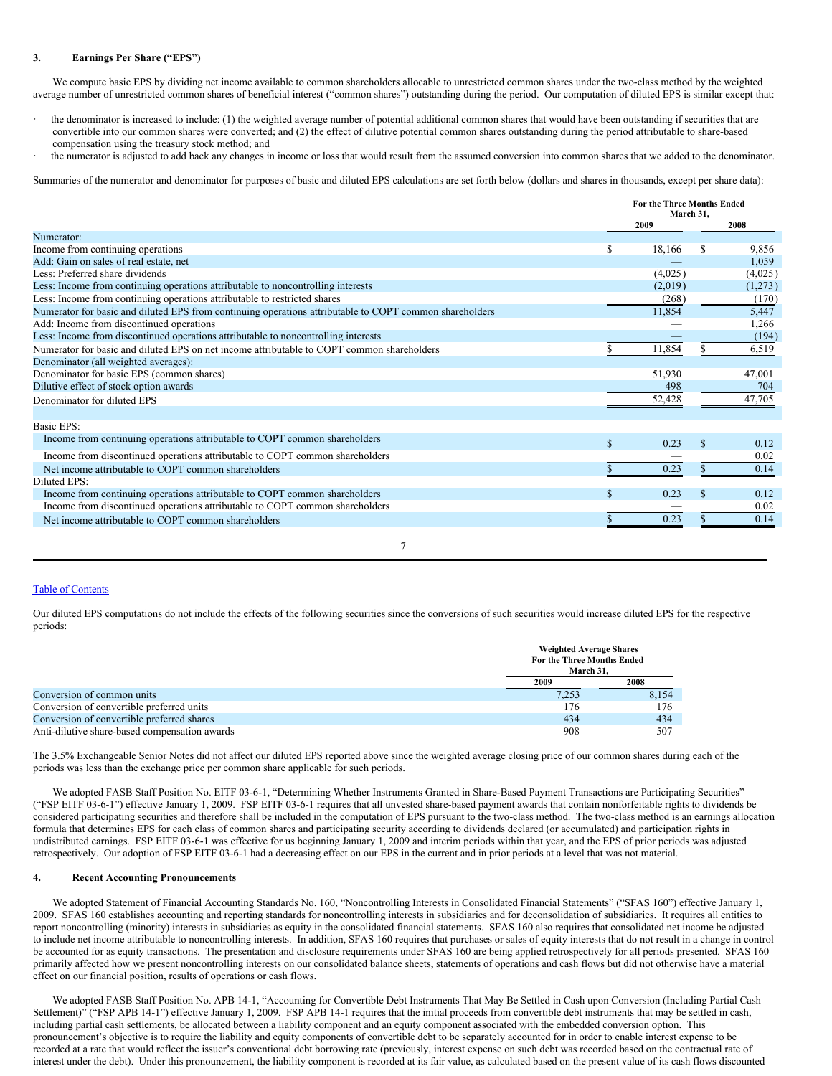# **3. Earnings Per Share ("EPS")**

We compute basic EPS by dividing net income available to common shareholders allocable to unrestricted common shares under the two-class method by the weighted average number of unrestricted common shares of beneficial interest ("common shares") outstanding during the period. Our computation of diluted EPS is similar except that:

- the denominator is increased to include: (1) the weighted average number of potential additional common shares that would have been outstanding if securities that are convertible into our common shares were converted; and (2) the effect of dilutive potential common shares outstanding during the period attributable to share-based compensation using the treasury stock method; and
- · the numerator is adjusted to add back any changes in income or loss that would result from the assumed conversion into common shares that we added to the denominator.

Summaries of the numerator and denominator for purposes of basic and diluted EPS calculations are set forth below (dollars and shares in thousands, except per share data):

|                                                                                                         | <b>For the Three Months Ended</b><br>March 31, |         |              |         |
|---------------------------------------------------------------------------------------------------------|------------------------------------------------|---------|--------------|---------|
|                                                                                                         |                                                | 2009    |              | 2008    |
| Numerator:                                                                                              |                                                |         |              |         |
| Income from continuing operations                                                                       | S                                              | 18,166  |              | 9,856   |
| Add: Gain on sales of real estate, net                                                                  |                                                |         |              | 1,059   |
| Less: Preferred share dividends                                                                         |                                                | (4,025) |              | (4,025) |
| Less: Income from continuing operations attributable to noncontrolling interests                        |                                                | (2,019) |              | (1,273) |
| Less: Income from continuing operations attributable to restricted shares                               |                                                | (268)   |              | (170)   |
| Numerator for basic and diluted EPS from continuing operations attributable to COPT common shareholders |                                                | 11,854  |              | 5,447   |
| Add: Income from discontinued operations                                                                |                                                |         |              | 1,266   |
| Less: Income from discontinued operations attributable to noncontrolling interests                      |                                                |         |              | (194)   |
| Numerator for basic and diluted EPS on net income attributable to COPT common shareholders              |                                                | 11,854  | S.           | 6,519   |
| Denominator (all weighted averages):                                                                    |                                                |         |              |         |
| Denominator for basic EPS (common shares)                                                               |                                                | 51,930  |              | 47,001  |
| Dilutive effect of stock option awards                                                                  |                                                | 498     |              | 704     |
| Denominator for diluted EPS                                                                             |                                                | 52,428  |              | 47,705  |
|                                                                                                         |                                                |         |              |         |
| Basic EPS:                                                                                              |                                                |         |              |         |
| Income from continuing operations attributable to COPT common shareholders                              | <sup>\$</sup>                                  | 0.23    | $\mathbb{S}$ | 0.12    |
| Income from discontinued operations attributable to COPT common shareholders                            |                                                |         |              | 0.02    |
| Net income attributable to COPT common shareholders                                                     |                                                | 0.23    |              | 0.14    |
| Diluted EPS:                                                                                            |                                                |         |              |         |
| Income from continuing operations attributable to COPT common shareholders                              | $\mathbf S$                                    | 0.23    | \$.          | 0.12    |
| Income from discontinued operations attributable to COPT common shareholders                            |                                                |         |              | 0.02    |
| Net income attributable to COPT common shareholders                                                     |                                                | 0.23    | S.           | 0.14    |
|                                                                                                         |                                                |         |              |         |

## Table of [Contents](#page-0-0)

Our diluted EPS computations do not include the effects of the following securities since the conversions of such securities would increase diluted EPS for the respective periods:

|                                               | <b>Weighted Average Shares</b><br>For the Three Months Ended<br>March 31. |       |
|-----------------------------------------------|---------------------------------------------------------------------------|-------|
|                                               | 2009                                                                      | 2008  |
| Conversion of common units                    | 7.253                                                                     | 8,154 |
| Conversion of convertible preferred units     | 176                                                                       | 176   |
| Conversion of convertible preferred shares    | 434                                                                       | 434   |
| Anti-dilutive share-based compensation awards | 908                                                                       | 507   |

The 3.5% Exchangeable Senior Notes did not affect our diluted EPS reported above since the weighted average closing price of our common shares during each of the periods was less than the exchange price per common share applicable for such periods.

We adopted FASB Staff Position No. EITF 03-6-1, "Determining Whether Instruments Granted in Share-Based Payment Transactions are Participating Securities" ("FSP EITF 03-6-1") effective January 1, 2009. FSP EITF 03-6-1 requires that all unvested share-based payment awards that contain nonforfeitable rights to dividends be considered participating securities and therefore shall be included in the computation of EPS pursuant to the two-class method. The two-class method is an earnings allocation formula that determines EPS for each class of common shares and participating security according to dividends declared (or accumulated) and participation rights in undistributed earnings. FSP EITF 03-6-1 was effective for us beginning January 1, 2009 and interim periods within that year, and the EPS of prior periods was adjusted retrospectively. Our adoption of FSP EITF 03-6-1 had a decreasing effect on our EPS in the current and in prior periods at a level that was not material.

#### **4. Recent Accounting Pronouncements**

We adopted Statement of Financial Accounting Standards No. 160, "Noncontrolling Interests in Consolidated Financial Statements" ("SFAS 160") effective January 1, 2009. SFAS 160 establishes accounting and reporting standards for noncontrolling interests in subsidiaries and for deconsolidation of subsidiaries. It requires all entities to report noncontrolling (minority) interests in subsidiaries as equity in the consolidated financial statements. SFAS 160 also requires that consolidated net income be adjusted to include net income attributable to noncontrolling interests. In addition, SFAS 160 requires that purchases or sales of equity interests that do not result in a change in control be accounted for as equity transactions. The presentation and disclosure requirements under SFAS 160 are being applied retrospectively for all periods presented. SFAS 160 primarily affected how we present noncontrolling interests on our consolidated balance sheets, statements of operations and cash flows but did not otherwise have a material effect on our financial position, results of operations or cash flows.

We adopted FASB Staff Position No. APB 14-1, "Accounting for Convertible Debt Instruments That May Be Settled in Cash upon Conversion (Including Partial Cash Settlement)" ("FSP APB 14-1") effective January 1, 2009. FSP APB 14-1 requires that the initial proceeds from convertible debt instruments that may be settled in cash, including partial cash settlements, be allocated between a liability component and an equity component associated with the embedded conversion option. This pronouncement's objective is to require the liability and equity components of convertible debt to be separately accounted for in order to enable interest expense to be recorded at a rate that would reflect the issuer's conventional debt borrowing rate (previously, interest expense on such debt was recorded based on the contractual rate of interest under the debt). Under this pronouncement, the liability component is recorded at its fair value, as calculated based on the present value of its cash flows discounted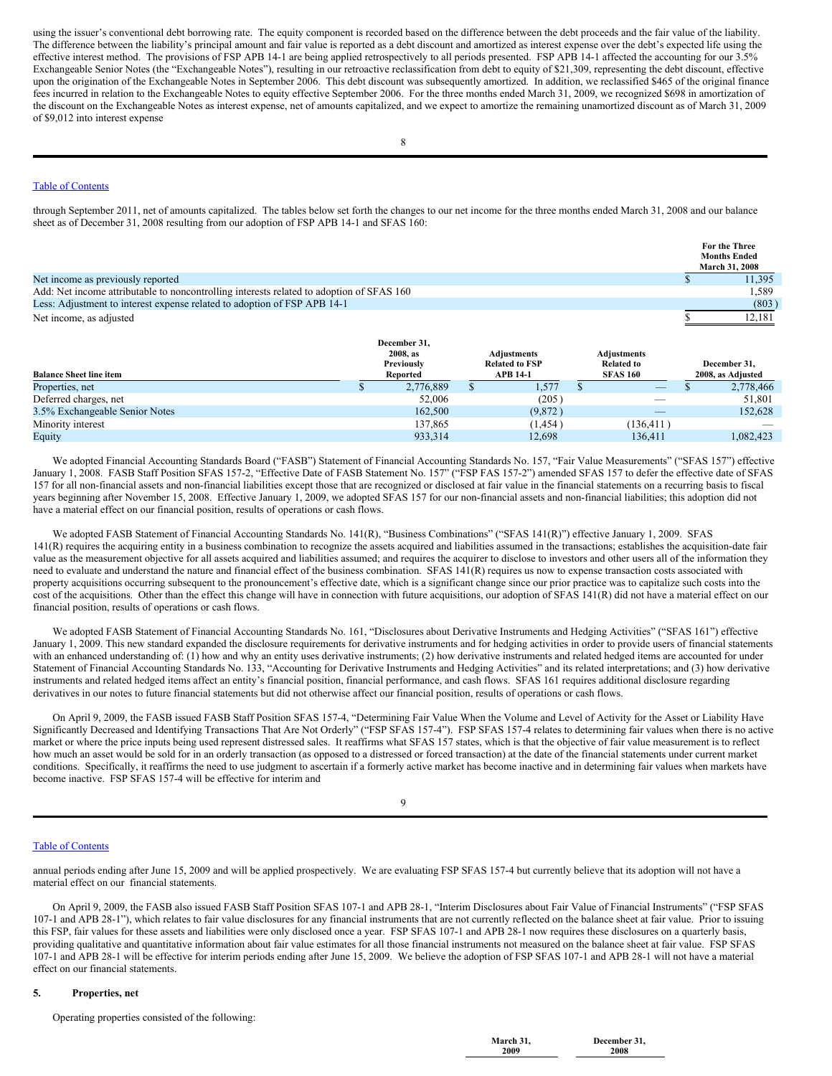using the issuer's conventional debt borrowing rate. The equity component is recorded based on the difference between the debt proceeds and the fair value of the liability. The difference between the liability's principal amount and fair value is reported as a debt discount and amortized as interest expense over the debt's expected life using the effective interest method. The provisions of FSP APB 14-1 are being applied retrospectively to all periods presented. FSP APB 14-1 affected the accounting for our 3.5% Exchangeable Senior Notes (the "Exchangeable Notes"), resulting in our retroactive reclassification from debt to equity of \$21,309, representing the debt discount, effective upon the origination of the Exchangeable Notes in September 2006. This debt discount was subsequently amortized. In addition, we reclassified \$465 of the original finance fees incurred in relation to the Exchangeable Notes to equity effective September 2006. For the three months ended March 31, 2009, we recognized \$698 in amortization of the discount on the Exchangeable Notes as interest expense, net of amounts capitalized, and we expect to amortize the remaining unamortized discount as of March 31, 2009 of \$9,012 into interest expense

# Table of [Contents](#page-0-0)

through September 2011, net of amounts capitalized. The tables below set forth the changes to our net income for the three months ended March 31, 2008 and our balance sheet as of December 31, 2008 resulting from our adoption of FSP APB 14-1 and SFAS 160:

|                                                                                          | <b>For the Three</b><br><b>Months Ended</b><br><b>March 31, 2008</b> |
|------------------------------------------------------------------------------------------|----------------------------------------------------------------------|
| Net income as previously reported                                                        | 11.395                                                               |
| Add: Net income attributable to noncontrolling interests related to adoption of SFAS 160 | 1.589                                                                |
| Less: Adjustment to interest expense related to adoption of FSP APB 14-1                 | (803)                                                                |
| Net income, as adjusted                                                                  | 12.181                                                               |

|                                | December 31, |                       |                          |                   |
|--------------------------------|--------------|-----------------------|--------------------------|-------------------|
|                                | 2008. as     | Adjustments           | <b>Adiustments</b>       |                   |
|                                | Previously   | <b>Related to FSP</b> | <b>Related to</b>        | December 31,      |
| <b>Balance Sheet line item</b> | Reported     | <b>APB 14-1</b>       | <b>SFAS 160</b>          | 2008, as Adjusted |
| Properties, net                | 2,776,889    | 1,577                 | $\overline{\phantom{a}}$ | 2,778,466         |
| Deferred charges, net          | 52,006       | (205)                 | $\sim$                   | 51.801            |
| 3.5% Exchangeable Senior Notes | 162,500      | (9,872)               | _                        | 152,628           |
| Minority interest              | 137,865      | (1, 454)              | (136, 411)               |                   |
| Equity                         | 933.314      | 12.698                | 136.411                  | 1.082.423         |

We adopted Financial Accounting Standards Board ("FASB") Statement of Financial Accounting Standards No. 157, "Fair Value Measurements" ("SFAS 157") effective January 1, 2008. FASB Staff Position SFAS 157-2, "Effective Date of FASB Statement No. 157" ("FSP FAS 157-2") amended SFAS 157 to defer the effective date of SFAS 157 for all non-financial assets and non-financial liabilities except those that are recognized or disclosed at fair value in the financial statements on a recurring basis to fiscal years beginning after November 15, 2008. Effective January 1, 2009, we adopted SFAS 157 for our non-financial assets and non-financial liabilities; this adoption did not have a material effect on our financial position, results of operations or cash flows.

We adopted FASB Statement of Financial Accounting Standards No. 141(R), "Business Combinations" ("SFAS 141(R)") effective January 1, 2009. SFAS 141(R) requires the acquiring entity in a business combination to recognize the assets acquired and liabilities assumed in the transactions; establishes the acquisition-date fair value as the measurement objective for all assets acquired and liabilities assumed; and requires the acquirer to disclose to investors and other users all of the information they need to evaluate and understand the nature and financial effect of the business combination. SFAS 141(R) requires us now to expense transaction costs associated with property acquisitions occurring subsequent to the pronouncement's effective date, which is a significant change since our prior practice was to capitalize such costs into the cost of the acquisitions. Other than the effect this change will have in connection with future acquisitions, our adoption of SFAS 141(R) did not have a material effect on our financial position, results of operations or cash flows.

We adopted FASB Statement of Financial Accounting Standards No. 161, "Disclosures about Derivative Instruments and Hedging Activities" ("SFAS 161") effective January 1, 2009. This new standard expanded the disclosure requirements for derivative instruments and for hedging activities in order to provide users of financial statements with an enhanced understanding of: (1) how and why an entity uses derivative instruments; (2) how derivative instruments and related hedged items are accounted for under Statement of Financial Accounting Standards No. 133, "Accounting for Derivative Instruments and Hedging Activities" and its related interpretations; and (3) how derivative instruments and related hedged items affect an entity's financial position, financial performance, and cash flows. SFAS 161 requires additional disclosure regarding derivatives in our notes to future financial statements but did not otherwise affect our financial position, results of operations or cash flows.

On April 9, 2009, the FASB issued FASB Staff Position SFAS 157-4, "Determining Fair Value When the Volume and Level of Activity for the Asset or Liability Have Significantly Decreased and Identifying Transactions That Are Not Orderly" ("FSP SFAS 157-4"). FSP SFAS 157-4 relates to determining fair values when there is no active market or where the price inputs being used represent distressed sales. It reaffirms what SFAS 157 states, which is that the objective of fair value measurement is to reflect how much an asset would be sold for in an orderly transaction (as opposed to a distressed or forced transaction) at the date of the financial statements under current market conditions. Specifically, it reaffirms the need to use judgment to ascertain if a formerly active market has become inactive and in determining fair values when markets have become inactive. FSP SFAS 157-4 will be effective for interim and

# 9

#### Table of [Contents](#page-0-0)

annual periods ending after June 15, 2009 and will be applied prospectively. We are evaluating FSP SFAS 157-4 but currently believe that its adoption will not have a material effect on our financial statements.

On April 9, 2009, the FASB also issued FASB Staff Position SFAS 107-1 and APB 28-1, "Interim Disclosures about Fair Value of Financial Instruments" ("FSP SFAS 107-1 and APB 28-1"), which relates to fair value disclosures for any financial instruments that are not currently reflected on the balance sheet at fair value. Prior to issuing this FSP, fair values for these assets and liabilities were only disclosed once a year. FSP SFAS 107-1 and APB 28-1 now requires these disclosures on a quarterly basis, providing qualitative and quantitative information about fair value estimates for all those financial instruments not measured on the balance sheet at fair value. FSP SFAS 107-1 and APB 28-1 will be effective for interim periods ending after June 15, 2009. We believe the adoption of FSP SFAS 107-1 and APB 28-1 will not have a material effect on our financial statements.

## **5. Properties, net**

Operating properties consisted of the following:

**March** 31, **December** 31, **2009 2009 2008**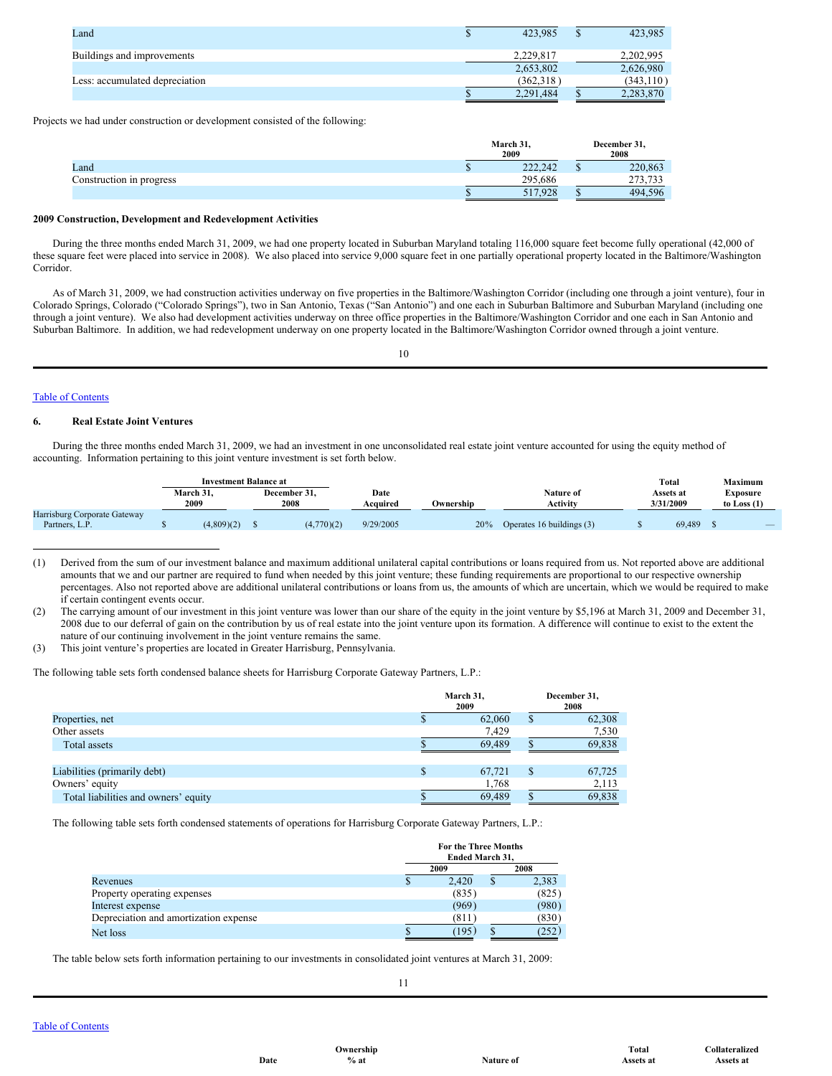| Land                           | 423.985                | 423.985                 |
|--------------------------------|------------------------|-------------------------|
| Buildings and improvements     | 2,229,817<br>2,653,802 | 2,202,995<br>2,626,980  |
| Less: accumulated depreciation | (362,318)<br>2,291,484 | (343, 110)<br>2,283,870 |

Projects we had under construction or development consisted of the following:

|                          | March 31,<br>2009 | December 31,<br>2008 |
|--------------------------|-------------------|----------------------|
| Land                     | 222.242           | 220,863              |
| Construction in progress | 295.686           | 273.733              |
|                          | 517.928           | 494.596              |

### **2009 Construction, Development and Redevelopment Activities**

During the three months ended March 31, 2009, we had one property located in Suburban Maryland totaling 116,000 square feet become fully operational (42,000 of these square feet were placed into service in 2008). We also placed into service 9,000 square feet in one partially operational property located in the Baltimore/Washington Corridor.

As of March 31, 2009, we had construction activities underway on five properties in the Baltimore/Washington Corridor (including one through a joint venture), four in Colorado Springs, Colorado ("Colorado Springs"), two in San Antonio, Texas ("San Antonio") and one each in Suburban Baltimore and Suburban Maryland (including one through a joint venture). We also had development activities underway on three office properties in the Baltimore/Washington Corridor and one each in San Antonio and Suburban Baltimore. In addition, we had redevelopment underway on one property located in the Baltimore/Washington Corridor owned through a joint venture.

| ۰.<br>×<br>۰. |  |
|---------------|--|
|               |  |

### Table of [Contents](#page-0-0)

### **6. Real Estate Joint Ventures**

During the three months ended March 31, 2009, we had an investment in one unconsolidated real estate joint venture accounted for using the equity method of accounting. Information pertaining to this joint venture investment is set forth below.

|                                                | <b>Investment Balance at</b> |                   |  |                      |                  |           |                           |  | Total                  | <b>Maximum</b>            |
|------------------------------------------------|------------------------------|-------------------|--|----------------------|------------------|-----------|---------------------------|--|------------------------|---------------------------|
|                                                |                              | March 31.<br>2009 |  | December 31.<br>2008 | Date<br>Acauired | Ownership | Nature of<br>Activity     |  | Assets at<br>3/31/2009 | Exposure<br>to Loss $(1)$ |
| Harrisburg Corporate Gateway<br>Partners, L.P. |                              | (4,809)(2)        |  | (4,770)(2)           | 9/29/2005        | 20%       | Operates 16 buildings (3) |  | 69.489                 | __                        |

(1) Derived from the sum of our investment balance and maximum additional unilateral capital contributions or loans required from us. Not reported above are additional amounts that we and our partner are required to fund when needed by this joint venture; these funding requirements are proportional to our respective ownership percentages. Also not reported above are additional unilateral contributions or loans from us, the amounts of which are uncertain, which we would be required to make if certain contingent events occur.

(2) The carrying amount of our investment in this joint venture was lower than our share of the equity in the joint venture by \$5,196 at March 31, 2009 and December 31, 2008 due to our deferral of gain on the contribution by us of real estate into the joint venture upon its formation. A difference will continue to exist to the extent the nature of our continuing involvement in the joint venture remains the same.

(3) This joint venture's properties are located in Greater Harrisburg, Pennsylvania.

The following table sets forth condensed balance sheets for Harrisburg Corporate Gateway Partners, L.P.:

|                                      | March 31,<br>2009 |   | December 31.<br>2008 |
|--------------------------------------|-------------------|---|----------------------|
| Properties, net                      | 62,060            | S | 62,308               |
| Other assets                         | 7,429             |   | 7,530                |
| Total assets                         | 69.489            |   | 69,838               |
| Liabilities (primarily debt)         | \$<br>67,721      | S | 67,725               |
| Owners' equity                       | 1,768             |   | 2,113                |
| Total liabilities and owners' equity | 69,489            |   | 69,838               |

The following table sets forth condensed statements of operations for Harrisburg Corporate Gateway Partners, L.P.:

|                                       |   | <b>For the Three Months</b><br>Ended March 31, |    |       |  |
|---------------------------------------|---|------------------------------------------------|----|-------|--|
|                                       |   | 2009                                           |    | 2008  |  |
| Revenues                              | ъ | 2.420                                          | \$ | 2,383 |  |
| Property operating expenses           |   | (835)                                          |    | (825) |  |
| Interest expense                      |   | (969)                                          |    | (980) |  |
| Depreciation and amortization expense |   | (811)                                          |    | (830) |  |
| Net loss                              |   | (195)                                          | \$ | (252) |  |

The table below sets forth information pertaining to our investments in consolidated joint ventures at March 31, 2009: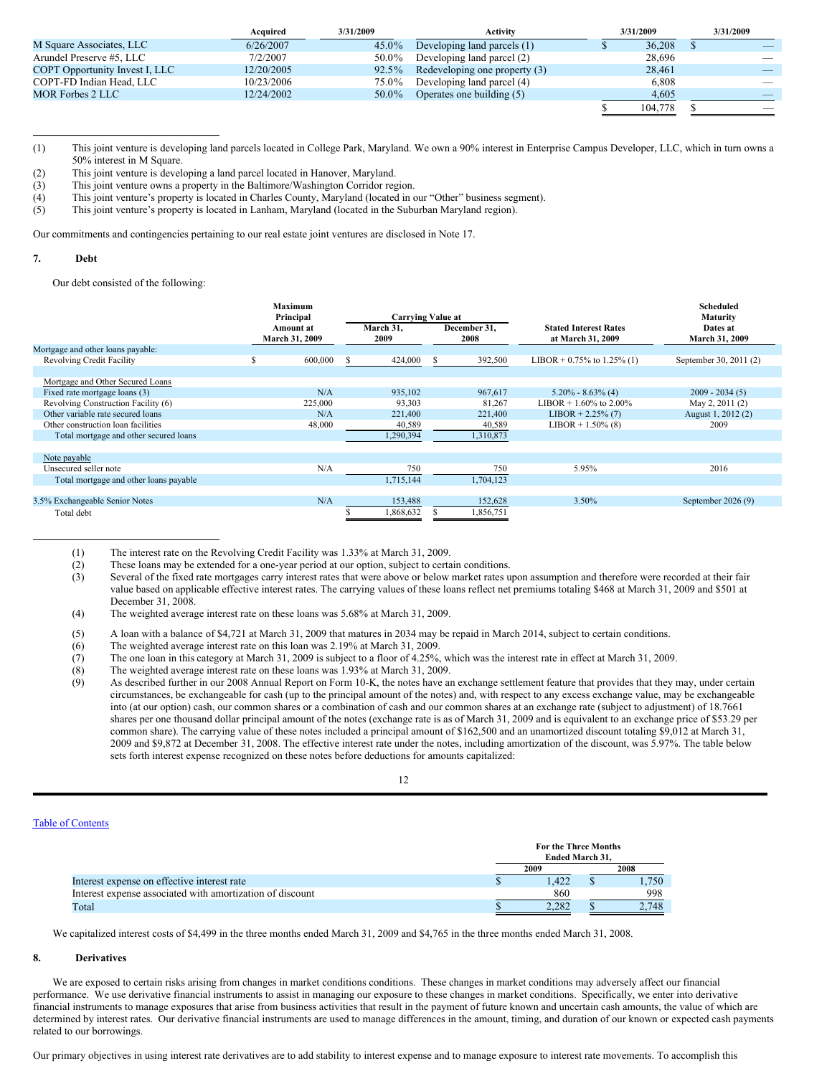|                                | Acquired   | 3/31/2009 | Activity                      | 3/31/2009 | 3/31/2009                |
|--------------------------------|------------|-----------|-------------------------------|-----------|--------------------------|
| M Square Associates, LLC       | 6/26/2007  | $45.0\%$  | Developing land parcels (1)   | 36,208    |                          |
| Arundel Preserve #5, LLC       | 7/2/2007   | 50.0%     | Developing land parcel (2)    | 28,696    |                          |
| COPT Opportunity Invest I, LLC | 12/20/2005 | 92.5%     | Redeveloping one property (3) | 28.461    |                          |
| COPT-FD Indian Head, LLC       | 10/23/2006 | 75.0%     | Developing land parcel (4)    | 6.808     | $\overline{\phantom{a}}$ |
| <b>MOR Forbes 2 LLC</b>        | 12/24/2002 | 50.0%     | Operates one building (5)     | 4.605     |                          |
|                                |            |           |                               | 104,778   | $\overline{\phantom{a}}$ |

(1) This joint venture is developing land parcels located in College Park, Maryland. We own a 90% interest in Enterprise Campus Developer, LLC, which in turn owns a 50% interest in M Square.

(2) This joint venture is developing a land parcel located in Hanover, Maryland.

(3) This joint venture owns a property in the Baltimore/Washington Corridor region.

(4) This joint venture's property is located in Charles County, Maryland (located in our "Other" business segment).

(5) This joint venture's property is located in Lanham, Maryland (located in the Suburban Maryland region).

Our commitments and contingencies pertaining to our real estate joint ventures are disclosed in Note 17.

#### **7. Debt**

Our debt consisted of the following:

|                                        | <b>Maximum</b><br>Principal |  |                                                                       |  |                                                   |                            | <b>Scheduled</b><br>Maturity |
|----------------------------------------|-----------------------------|--|-----------------------------------------------------------------------|--|---------------------------------------------------|----------------------------|------------------------------|
|                                        | Amount at<br>March 31, 2009 |  | <b>Carrying Value at</b><br>December 31,<br>March 31,<br>2008<br>2009 |  | <b>Stated Interest Rates</b><br>at March 31, 2009 | Dates at<br>March 31, 2009 |                              |
| Mortgage and other loans payable:      |                             |  |                                                                       |  |                                                   |                            |                              |
| Revolving Credit Facility              | 600,000                     |  | 424,000                                                               |  | 392,500                                           | LIBOR + 0.75% to 1.25% (1) | September 30, 2011 (2)       |
|                                        |                             |  |                                                                       |  |                                                   |                            |                              |
| Mortgage and Other Secured Loans       |                             |  |                                                                       |  |                                                   |                            |                              |
| Fixed rate mortgage loans (3)          | N/A                         |  | 935,102                                                               |  | 967,617                                           | $5.20\% - 8.63\%$ (4)      | $2009 - 2034(5)$             |
| Revolving Construction Facility (6)    | 225,000                     |  | 93,303                                                                |  | 81,267                                            | LIBOR $+ 1.60\%$ to 2.00%  | May 2, 2011 (2)              |
| Other variable rate secured loans      | N/A                         |  | 221,400                                                               |  | 221,400                                           | $LIBOR + 2.25\% (7)$       | August 1, 2012 (2)           |
| Other construction loan facilities     | 48,000                      |  | 40,589                                                                |  | 40,589                                            | $LIBOR + 1.50\%$ (8)       | 2009                         |
| Total mortgage and other secured loans |                             |  | 1,290,394                                                             |  | 1,310,873                                         |                            |                              |
|                                        |                             |  |                                                                       |  |                                                   |                            |                              |
| Note payable                           |                             |  |                                                                       |  |                                                   |                            |                              |
| Unsecured seller note                  | N/A                         |  | 750                                                                   |  | 750                                               | 5.95%                      | 2016                         |
| Total mortgage and other loans payable |                             |  | 1,715,144                                                             |  | 1,704,123                                         |                            |                              |
|                                        |                             |  |                                                                       |  |                                                   |                            |                              |
| 3.5% Exchangeable Senior Notes         | N/A                         |  | 153.488                                                               |  | 152,628                                           | 3.50%                      | September $2026(9)$          |
| Total debt                             |                             |  | 1,868,632                                                             |  | 1,856,751                                         |                            |                              |
|                                        |                             |  |                                                                       |  |                                                   |                            |                              |

<sup>(1)</sup> The interest rate on the Revolving Credit Facility was 1.33% at March 31, 2009.

(2) These loans may be extended for a one-year period at our option, subject to certain conditions.

(3) Several of the fixed rate mortgages carry interest rates that were above or below market rates upon assumption and therefore were recorded at their fair value based on applicable effective interest rates. The carrying values of these loans reflect net premiums totaling \$468 at March 31, 2009 and \$501 at December 31, 2008.

(4) The weighted average interest rate on these loans was 5.68% at March 31, 2009.

(5) A loan with a balance of \$4,721 at March 31, 2009 that matures in 2034 may be repaid in March 2014, subject to certain conditions.

(6) The weighted average interest rate on this loan was 2.19% at March 31, 2009.

(7) The one loan in this category at March 31, 2009 is subject to a floor of 4.25%, which was the interest rate in effect at March 31, 2009.

(8) The weighted average interest rate on these loans was 1.93% at March 31, 2009.<br>(9) As described further in our 2008 Annual Report on Form 10-K, the notes have are As described further in our 2008 Annual Report on Form 10-K, the notes have an exchange settlement feature that provides that they may, under certain circumstances, be exchangeable for cash (up to the principal amount of the notes) and, with respect to any excess exchange value, may be exchangeable into (at our option) cash, our common shares or a combination of cash and our common shares at an exchange rate (subject to adjustment) of 18.7661 shares per one thousand dollar principal amount of the notes (exchange rate is as of March 31, 2009 and is equivalent to an exchange price of \$53.29 per common share). The carrying value of these notes included a principal amount of \$162,500 and an unamortized discount totaling \$9,012 at March 31, 2009 and \$9,872 at December 31, 2008. The effective interest rate under the notes, including amortization of the discount, was 5.97%. The table below sets forth interest expense recognized on these notes before deductions for amounts capitalized:

#### Table of [Contents](#page-0-0)

|                                                           | For the Three Months<br><b>Ended March 31.</b> |       |
|-----------------------------------------------------------|------------------------------------------------|-------|
|                                                           | 2009                                           | 2008  |
| Interest expense on effective interest rate               | .422                                           | 1.750 |
| Interest expense associated with amortization of discount | 860                                            | 998   |
| Total                                                     | 2.282                                          | 2.748 |

We capitalized interest costs of \$4,499 in the three months ended March 31, 2009 and \$4,765 in the three months ended March 31, 2008.

## **8. Derivatives**

We are exposed to certain risks arising from changes in market conditions conditions. These changes in market conditions may adversely affect our financial performance. We use derivative financial instruments to assist in managing our exposure to these changes in market conditions. Specifically, we enter into derivative financial instruments to manage exposures that arise from business activities that result in the payment of future known and uncertain cash amounts, the value of which are determined by interest rates. Our derivative financial instruments are used to manage differences in the amount, timing, and duration of our known or expected cash payments related to our borrowings.

Our primary objectives in using interest rate derivatives are to add stability to interest expense and to manage exposure to interest rate movements. To accomplish this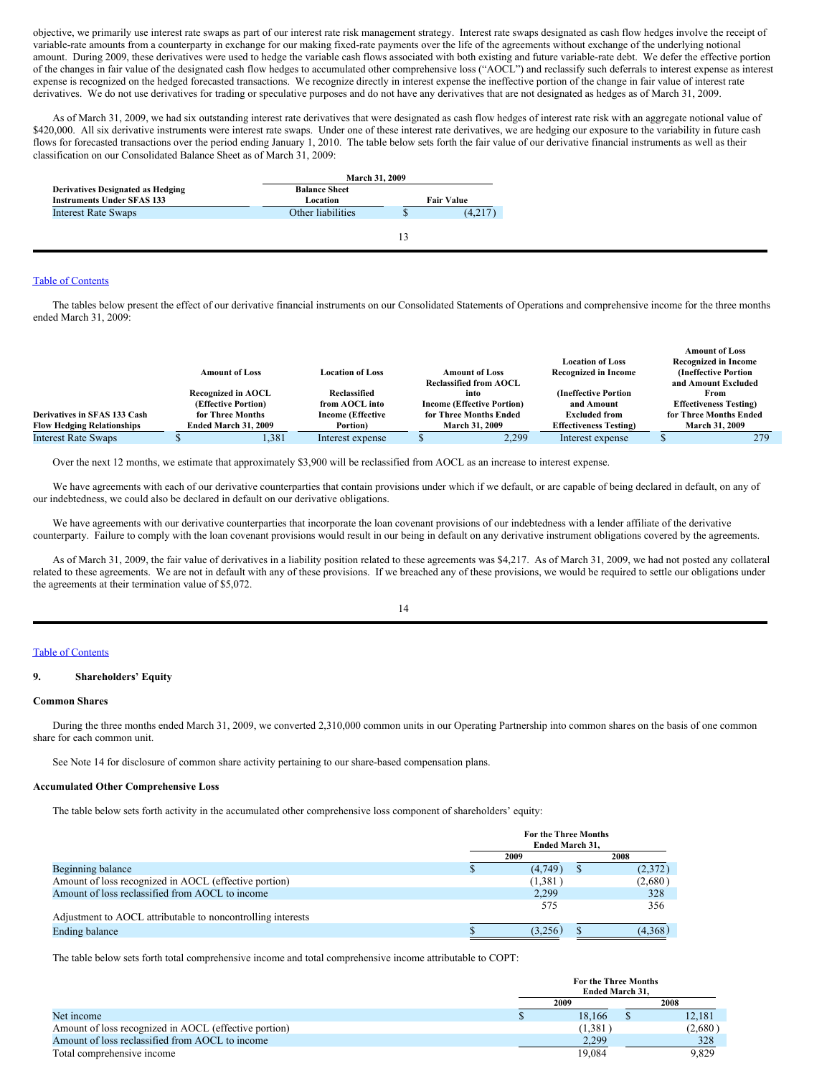objective, we primarily use interest rate swaps as part of our interest rate risk management strategy. Interest rate swaps designated as cash flow hedges involve the receipt of variable-rate amounts from a counterparty in exchange for our making fixed-rate payments over the life of the agreements without exchange of the underlying notional amount. During 2009, these derivatives were used to hedge the variable cash flows associated with both existing and future variable-rate debt. We defer the effective portion of the changes in fair value of the designated cash flow hedges to accumulated other comprehensive loss ("AOCL") and reclassify such deferrals to interest expense as interest expense is recognized on the hedged forecasted transactions. We recognize directly in interest expense the ineffective portion of the change in fair value of interest rate derivatives. We do not use derivatives for trading or speculative purposes and do not have any derivatives that are not designated as hedges as of March 31, 2009.

As of March 31, 2009, we had six outstanding interest rate derivatives that were designated as cash flow hedges of interest rate risk with an aggregate notional value of \$420,000. All six derivative instruments were interest rate swaps. Under one of these interest rate derivatives, we are hedging our exposure to the variability in future cash flows for forecasted transactions over the period ending January 1, 2010. The table below sets forth the fair value of our derivative financial instruments as well as their classification on our Consolidated Balance Sheet as of March 31, 2009:

|                                   | March 31, 2009       |  |                   |  |  |
|-----------------------------------|----------------------|--|-------------------|--|--|
| Derivatives Designated as Hedging | <b>Balance Sheet</b> |  |                   |  |  |
| <b>Instruments Under SFAS 133</b> | Location             |  | <b>Fair Value</b> |  |  |
| <b>Interest Rate Swaps</b>        | Other liabilities    |  | (4,217)           |  |  |
|                                   |                      |  |                   |  |  |
|                                   |                      |  |                   |  |  |

#### Table of [Contents](#page-0-0)

The tables below present the effect of our derivative financial instruments on our Consolidated Statements of Operations and comprehensive income for the three months ended March 31, 2009:

|                                   |                           |                          |                                   |                                | <b>Amount of Loss</b>          |     |
|-----------------------------------|---------------------------|--------------------------|-----------------------------------|--------------------------------|--------------------------------|-----|
|                                   |                           |                          |                                   | <b>Location of Loss</b>        | <b>Recognized in Income</b>    |     |
|                                   | Amount of Loss            | <b>Location of Loss</b>  | <b>Amount of Loss</b>             | <b>Recognized in Income</b>    | <b>(Ineffective Portion)</b>   |     |
|                                   |                           |                          | Reclassified from AOCL            |                                | and Amount Excluded            |     |
|                                   | <b>Recognized in AOCL</b> | Reclassified             | into                              | <b>Ineffective Portion</b>     | From                           |     |
|                                   | (Effective Portion)       | from AOCL into           | <b>Income (Effective Portion)</b> | and Amount                     | <b>Effectiveness Testing</b> ) |     |
| Derivatives in SFAS 133 Cash      | for Three Months          | <b>Income</b> (Effective | for Three Months Ended            | <b>Excluded from</b>           | for Three Months Ended         |     |
| <b>Flow Hedging Relationships</b> | Ended March 31, 2009      | Portion)                 | <b>March 31, 2009</b>             | <b>Effectiveness Testing</b> ) | <b>March 31, 2009</b>          |     |
| <b>Interest Rate Swaps</b>        | 1.381                     | Interest expense         | 2.299                             | Interest expense               |                                | 279 |

Over the next 12 months, we estimate that approximately \$3,900 will be reclassified from AOCL as an increase to interest expense.

We have agreements with each of our derivative counterparties that contain provisions under which if we default, or are capable of being declared in default, on any of our indebtedness, we could also be declared in default on our derivative obligations.

We have agreements with our derivative counterparties that incorporate the loan covenant provisions of our indebtedness with a lender affiliate of the derivative counterparty. Failure to comply with the loan covenant provisions would result in our being in default on any derivative instrument obligations covered by the agreements.

As of March 31, 2009, the fair value of derivatives in a liability position related to these agreements was \$4,217. As of March 31, 2009, we had not posted any collateral related to these agreements. We are not in default with any of these provisions. If we breached any of these provisions, we would be required to settle our obligations under the agreements at their termination value of \$5,072.

14

#### Table of [Contents](#page-0-0)

# **9. Shareholders' Equity**

#### **Common Shares**

During the three months ended March 31, 2009, we converted 2,310,000 common units in our Operating Partnership into common shares on the basis of one common share for each common unit.

See Note 14 for disclosure of common share activity pertaining to our share-based compensation plans.

#### **Accumulated Other Comprehensive Loss**

The table below sets forth activity in the accumulated other comprehensive loss component of shareholders' equity:

|                                                             | <b>For the Three Months</b><br><b>Ended March 31.</b> |  |         |  |  |
|-------------------------------------------------------------|-------------------------------------------------------|--|---------|--|--|
|                                                             | 2009                                                  |  | 2008    |  |  |
| Beginning balance                                           | (4.749)                                               |  | (2,372) |  |  |
| Amount of loss recognized in AOCL (effective portion)       | (1,381)                                               |  | (2,680) |  |  |
| Amount of loss reclassified from AOCL to income             | 2.299                                                 |  | 328     |  |  |
|                                                             | 575                                                   |  | 356     |  |  |
| Adjustment to AOCL attributable to noncontrolling interests |                                                       |  |         |  |  |
| <b>Ending balance</b>                                       | (3.256)                                               |  | (4.368) |  |  |

The table below sets forth total comprehensive income and total comprehensive income attributable to COPT:

|                                                       |         | For the Three Months<br><b>Ended March 31.</b> |
|-------------------------------------------------------|---------|------------------------------------------------|
|                                                       | 2009    | 2008                                           |
| Net income                                            | 18.166  | 12.181                                         |
| Amount of loss recognized in AOCL (effective portion) | (1,381) | (2,680)                                        |
| Amount of loss reclassified from AOCL to income       | 2,299   | 328                                            |
| Total comprehensive income                            | 19.084  | 9.829                                          |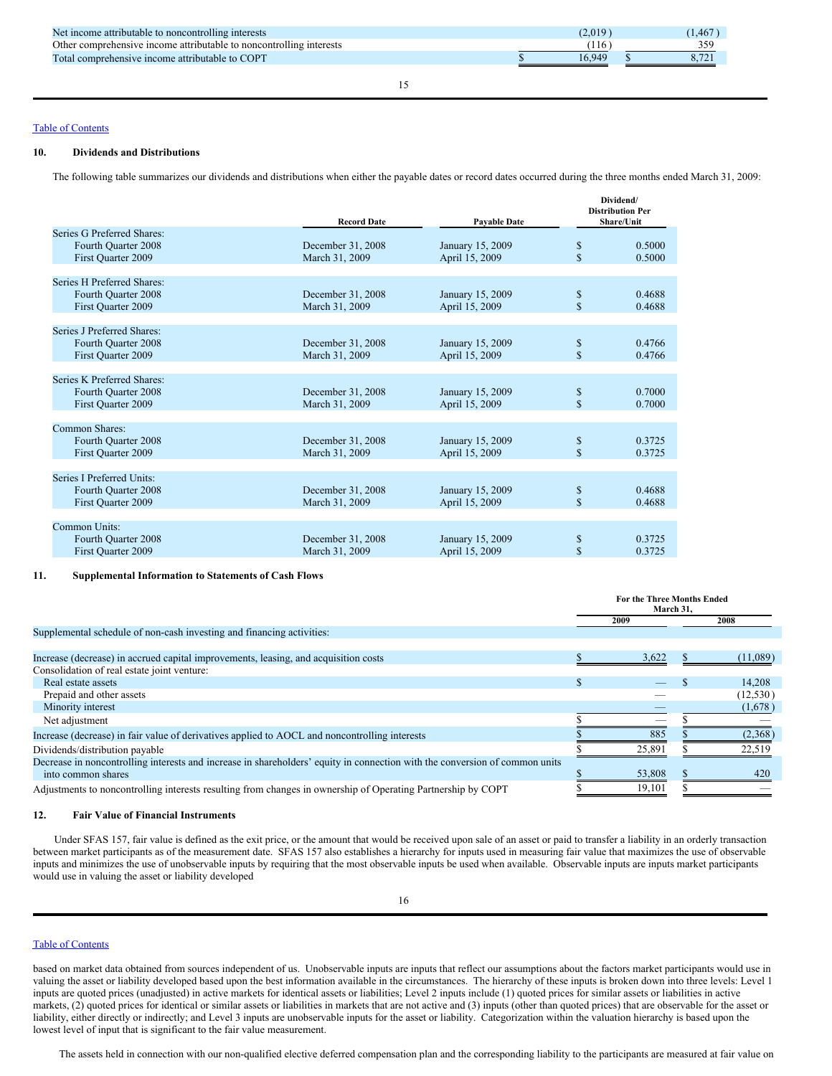| Net income attributable to noncontrolling interests                 | (2.019) | 1.467 |
|---------------------------------------------------------------------|---------|-------|
| Other comprehensive income attributable to noncontrolling interests | 116     | 35G   |
| Total comprehensive income attributable to COPT                     | 16.949  |       |

# Table of [Contents](#page-0-0)

#### **10. Dividends and Distributions**

The following table summarizes our dividends and distributions when either the payable dates or record dates occurred during the three months ended March 31, 2009:

|                            | <b>Record Date</b><br><b>Payable Date</b> |                  |                    | Dividend/<br><b>Distribution Per</b><br>Share/Unit |  |  |  |
|----------------------------|-------------------------------------------|------------------|--------------------|----------------------------------------------------|--|--|--|
| Series G Preferred Shares: |                                           |                  |                    |                                                    |  |  |  |
| Fourth Quarter 2008        | December 31, 2008                         | January 15, 2009 | \$                 | 0.5000                                             |  |  |  |
| First Ouarter 2009         | March 31, 2009                            | April 15, 2009   | $\mathbf{\hat{s}}$ | 0.5000                                             |  |  |  |
| Series H Preferred Shares: |                                           |                  |                    |                                                    |  |  |  |
| Fourth Quarter 2008        | December 31, 2008                         | January 15, 2009 | \$                 | 0.4688                                             |  |  |  |
| <b>First Ouarter 2009</b>  | March 31, 2009                            | April 15, 2009   | $\mathbf{\hat{s}}$ | 0.4688                                             |  |  |  |
| Series J Preferred Shares: |                                           |                  |                    |                                                    |  |  |  |
| Fourth Quarter 2008        | December 31, 2008                         | January 15, 2009 | \$                 | 0.4766                                             |  |  |  |
| First Ouarter 2009         | March 31, 2009                            |                  | $\mathbf{\hat{s}}$ | 0.4766                                             |  |  |  |
|                            |                                           | April 15, 2009   |                    |                                                    |  |  |  |
| Series K Preferred Shares: |                                           |                  |                    |                                                    |  |  |  |
| Fourth Quarter 2008        | December 31, 2008                         | January 15, 2009 | \$                 | 0.7000                                             |  |  |  |
| First Ouarter 2009         | March 31, 2009                            | April 15, 2009   | $\mathbf{\hat{s}}$ | 0.7000                                             |  |  |  |
| Common Shares:             |                                           |                  |                    |                                                    |  |  |  |
| Fourth Quarter 2008        | December 31, 2008                         | January 15, 2009 | \$                 | 0.3725                                             |  |  |  |
| First Ouarter 2009         | March 31, 2009                            | April 15, 2009   | $\mathbf{\hat{s}}$ | 0.3725                                             |  |  |  |
|                            |                                           |                  |                    |                                                    |  |  |  |
| Series I Preferred Units:  |                                           |                  |                    |                                                    |  |  |  |
| Fourth Quarter 2008        | December 31, 2008                         | January 15, 2009 | \$                 | 0.4688                                             |  |  |  |
| <b>First Ouarter 2009</b>  | March 31, 2009                            | April 15, 2009   | $\mathbf{\hat{s}}$ | 0.4688                                             |  |  |  |
| Common Units:              |                                           |                  |                    |                                                    |  |  |  |
| Fourth Quarter 2008        | December 31, 2008                         | January 15, 2009 | \$                 | 0.3725                                             |  |  |  |
| First Ouarter 2009         | March 31, 2009                            | April 15, 2009   | $\mathbf{\hat{s}}$ | 0.3725                                             |  |  |  |
|                            |                                           |                  |                    |                                                    |  |  |  |

## **11. Supplemental Information to Statements of Cash Flows**

|                                                                                                                             |   | For the Three Months Ended<br>March 31. |  |           |  |
|-----------------------------------------------------------------------------------------------------------------------------|---|-----------------------------------------|--|-----------|--|
|                                                                                                                             |   | 2009                                    |  | 2008      |  |
| Supplemental schedule of non-cash investing and financing activities:                                                       |   |                                         |  |           |  |
|                                                                                                                             |   |                                         |  |           |  |
| Increase (decrease) in accrued capital improvements, leasing, and acquisition costs                                         |   | 3,622                                   |  | (11,089)  |  |
| Consolidation of real estate joint venture:                                                                                 |   |                                         |  |           |  |
| Real estate assets                                                                                                          | S |                                         |  | 14,208    |  |
| Prepaid and other assets                                                                                                    |   |                                         |  | (12, 530) |  |
| Minority interest                                                                                                           |   |                                         |  | (1,678)   |  |
| Net adjustment                                                                                                              |   |                                         |  |           |  |
| Increase (decrease) in fair value of derivatives applied to AOCL and noncontrolling interests                               |   | 885                                     |  | (2,368)   |  |
| Dividends/distribution payable                                                                                              |   | 25,891                                  |  | 22,519    |  |
| Decrease in noncontrolling interests and increase in shareholders' equity in connection with the conversion of common units |   |                                         |  |           |  |
| into common shares                                                                                                          |   | 53,808                                  |  | 420       |  |
| Adjustments to noncontrolling interests resulting from changes in ownership of Operating Partnership by COPT                |   | 19,101                                  |  |           |  |

# **12. Fair Value of Financial Instruments**

Under SFAS 157, fair value is defined as the exit price, or the amount that would be received upon sale of an asset or paid to transfer a liability in an orderly transaction between market participants as of the measurement date. SFAS 157 also establishes a hierarchy for inputs used in measuring fair value that maximizes the use of observable inputs and minimizes the use of unobservable inputs by requiring that the most observable inputs be used when available. Observable inputs are inputs market participants would use in valuing the asset or liability developed

# Table of [Contents](#page-0-0)

based on market data obtained from sources independent of us. Unobservable inputs are inputs that reflect our assumptions about the factors market participants would use in valuing the asset or liability developed based upon the best information available in the circumstances. The hierarchy of these inputs is broken down into three levels: Level 1 inputs are quoted prices (unadjusted) in active markets for identical assets or liabilities; Level 2 inputs include (1) quoted prices for similar assets or liabilities in active markets, (2) quoted prices for identical or similar assets or liabilities in markets that are not active and (3) inputs (other than quoted prices) that are observable for the asset or liability, either directly or indirectly; and Level 3 inputs are unobservable inputs for the asset or liability. Categorization within the valuation hierarchy is based upon the lowest level of input that is significant to the fair value measurement.

The assets held in connection with our non-qualified elective deferred compensation plan and the corresponding liability to the participants are measured at fair value on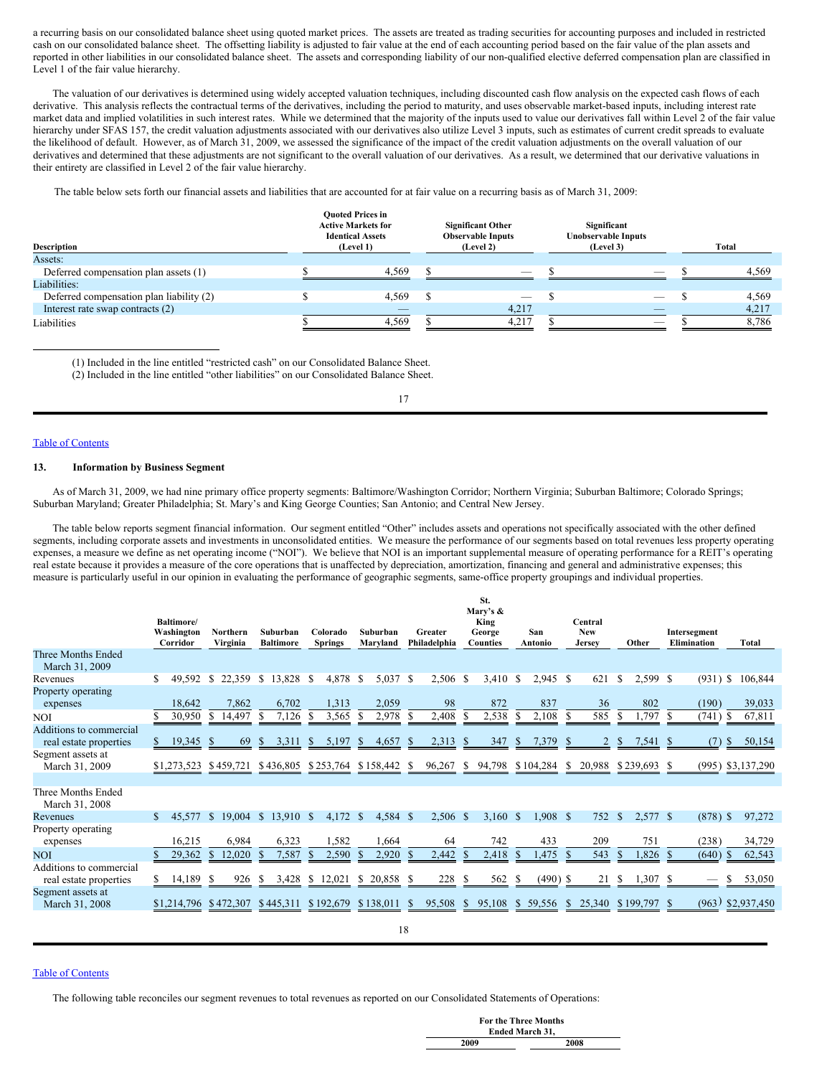a recurring basis on our consolidated balance sheet using quoted market prices. The assets are treated as trading securities for accounting purposes and included in restricted cash on our consolidated balance sheet. The offsetting liability is adjusted to fair value at the end of each accounting period based on the fair value of the plan assets and reported in other liabilities in our consolidated balance sheet. The assets and corresponding liability of our non-qualified elective deferred compensation plan are classified in Level 1 of the fair value hierarchy.

The valuation of our derivatives is determined using widely accepted valuation techniques, including discounted cash flow analysis on the expected cash flows of each derivative. This analysis reflects the contractual terms of the derivatives, including the period to maturity, and uses observable market-based inputs, including interest rate market data and implied volatilities in such interest rates. While we determined that the majority of the inputs used to value our derivatives fall within Level 2 of the fair value hierarchy under SFAS 157, the credit valuation adjustments associated with our derivatives also utilize Level 3 inputs, such as estimates of current credit spreads to evaluate the likelihood of default. However, as of March 31, 2009, we assessed the significance of the impact of the credit valuation adjustments on the overall valuation of our derivatives and determined that these adjustments are not significant to the overall valuation of our derivatives. As a result, we determined that our derivative valuations in their entirety are classified in Level 2 of the fair value hierarchy.

The table below sets forth our financial assets and liabilities that are accounted for at fair value on a recurring basis as of March 31, 2009:

| <b>Description</b>                       | <b>Ouoted Prices in</b><br><b>Active Markets for</b><br><b>Identical Assets</b><br>(Level 1) | <b>Significant Other</b><br><b>Observable Inputs</b><br>(Level 2) | Significant<br><b>Unobservable Inputs</b><br>(Level 3) | Total |
|------------------------------------------|----------------------------------------------------------------------------------------------|-------------------------------------------------------------------|--------------------------------------------------------|-------|
| Assets:                                  |                                                                                              |                                                                   |                                                        |       |
| Deferred compensation plan assets (1)    | 4.569                                                                                        | $\overline{\phantom{a}}$                                          | $\overline{\phantom{a}}$                               | 4,569 |
| Liabilities:                             |                                                                                              |                                                                   |                                                        |       |
| Deferred compensation plan liability (2) | 4,569                                                                                        | $\overline{\phantom{a}}$                                          |                                                        | 4,569 |
| Interest rate swap contracts (2)         |                                                                                              | 4,217                                                             | $\overline{\phantom{a}}$                               | 4,217 |
| Liabilities                              | 4,569                                                                                        | 4,217                                                             | $\overline{\phantom{a}}$                               | 8,786 |

(1) Included in the line entitled "restricted cash" on our Consolidated Balance Sheet. (2) Included in the line entitled "other liabilities" on our Consolidated Balance Sheet.

17

#### Table of [Contents](#page-0-0)

# **13. Information by Business Segment**

As of March 31, 2009, we had nine primary office property segments: Baltimore/Washington Corridor; Northern Virginia; Suburban Baltimore; Colorado Springs; Suburban Maryland; Greater Philadelphia; St. Mary's and King George Counties; San Antonio; and Central New Jersey.

The table below reports segment financial information. Our segment entitled "Other" includes assets and operations not specifically associated with the other defined segments, including corporate assets and investments in unconsolidated entities. We measure the performance of our segments based on total revenues less property operating expenses, a measure we define as net operating income ("NOI"). We believe that NOI is an important supplemental measure of operating performance for a REIT's operating real estate because it provides a measure of the core operations that is unaffected by depreciation, amortization, financing and general and administrative expenses; this measure is particularly useful in our opinion in evaluating the performance of geographic segments, same-office property groupings and individual properties.

|                                                   | <b>Baltimore</b><br>Washington<br>Corridor |               | Northern<br>Virginia | Suburban<br><b>Baltimore</b> | Colorado<br><b>Springs</b>                | Suburban<br>Maryland          |              | Greater<br>Philadelphia |              | St.<br>Mary's &<br>King<br>George<br><b>Counties</b> |              | San<br>Antonio |              | Central<br><b>New</b><br><b>Jersey</b> |              | Other    |     | Intersegment<br><b>Elimination</b> |          | Total               |
|---------------------------------------------------|--------------------------------------------|---------------|----------------------|------------------------------|-------------------------------------------|-------------------------------|--------------|-------------------------|--------------|------------------------------------------------------|--------------|----------------|--------------|----------------------------------------|--------------|----------|-----|------------------------------------|----------|---------------------|
| Three Months Ended<br>March 31, 2009              |                                            |               |                      |                              |                                           |                               |              |                         |              |                                                      |              |                |              |                                        |              |          |     |                                    |          |                     |
| Revenues                                          | \$                                         | 49,592 \$     | 22,359               | 13,828 \$<br>$\mathbb{S}$    | 4,878                                     | 5,037 \$<br>-S                |              | 2,506 \$                |              | 3,410 \$                                             |              | $2,945$ \$     |              | 621                                    | S            | 2,599 \$ |     | $(931)$ \$                         |          | 106,844             |
| Property operating<br>expenses                    | 18.642                                     |               | 7,862                | 6,702                        | 1,313                                     | 2,059                         |              | 98                      |              | 872                                                  |              | 837            |              | 36                                     |              | 802      |     | (190)                              |          | 39,033              |
| NOI                                               | 30,950                                     |               | 14,497               | 7,126                        | 3,565                                     | 2,978<br>S                    |              | 2,408                   | S            | 2,538                                                | S            | 2,108          | S            | 585                                    | S            | 1,797    | -S  | $(741)$ \$                         |          | 67,811              |
| Additions to commercial<br>real estate properties | S.                                         | $19,345$ \$   | 69                   | 3,311<br><sup>S</sup>        | 5,197<br><sup>S</sup>                     | 4,657<br><sup>S</sup>         | <sup>8</sup> | 2,313                   | <sup>S</sup> | 347                                                  | S.           | 7,379          | -S           | 2                                      | <sup>S</sup> | 7,541 \$ |     |                                    | $(7)$ \$ | 50,154              |
| Segment assets at<br>March 31, 2009               | \$1,273,523 \$459,721                      |               |                      |                              |                                           | \$436,805 \$253,764 \$158,442 | \$           | 96,267                  | <sup>S</sup> | 94,798                                               |              | \$104,284      | $\mathbb{S}$ | 20,988 \$239,693 \$                    |              |          |     |                                    |          | $(995)$ \$3,137,290 |
| Three Months Ended<br>March 31, 2008              |                                            |               |                      |                              |                                           |                               |              |                         |              |                                                      |              |                |              |                                        |              |          |     |                                    |          |                     |
| Revenues                                          | <sup>\$</sup><br>45.577                    | -S            | 19,004               | 13,910 \$<br><sup>S</sup>    | 4,172                                     | 4,584 \$<br>- S               |              | 2,506 \$                |              | 3,160                                                | <sup>S</sup> | $1.908$ \$     |              | 752                                    | $\mathbf S$  | 2,577 \$ |     | $(878)$ \$                         |          | 97,272              |
| Property operating<br>expenses                    | 16,215                                     |               | 6,984                | 6,323                        | 1,582                                     | 1,664                         |              | 64                      |              | 742                                                  |              | 433            |              | 209                                    |              | 751      |     | (238)                              |          | 34,729              |
| <b>NOI</b>                                        | 29,362                                     | S             | 12,020               | 7,587                        | 2,590<br><sup>3</sup>                     | 2,920<br>Ъ.                   |              | 2,442                   | <sup>S</sup> | 2,418                                                | S            | 1,475          | -S           | 543                                    | S            | 1,826    | - S | (640)                              |          | 62,543              |
| Additions to commercial<br>real estate properties | 14,189<br>S.                               | <sup>\$</sup> | 926                  | 3,428<br>S                   | \$12,021                                  | \$20,858                      | <b>S</b>     | 228                     | \$.          | 562                                                  | S            | $(490)$ \$     |              | 21                                     | S            | 1.307    | -S  |                                    | S        | 53,050              |
| Segment assets at<br>March 31, 2008               |                                            |               |                      |                              | \$1,214,796 \$472,307 \$445,311 \$192,679 | \$138,011                     | -S           | 95,508                  | S            | 95,108 \$ 59,556 \$ 25,340 \$199,797 \$              |              |                |              |                                        |              |          |     |                                    |          | $(963)$ \$2,937,450 |
|                                                   |                                            |               |                      |                              |                                           |                               | 18           |                         |              |                                                      |              |                |              |                                        |              |          |     |                                    |          |                     |

#### Table of [Contents](#page-0-0)

The following table reconciles our segment revenues to total revenues as reported on our Consolidated Statements of Operations:

|      | <b>For the Three Months</b><br><b>Ended March 31.</b> |
|------|-------------------------------------------------------|
| 2009 | 2008                                                  |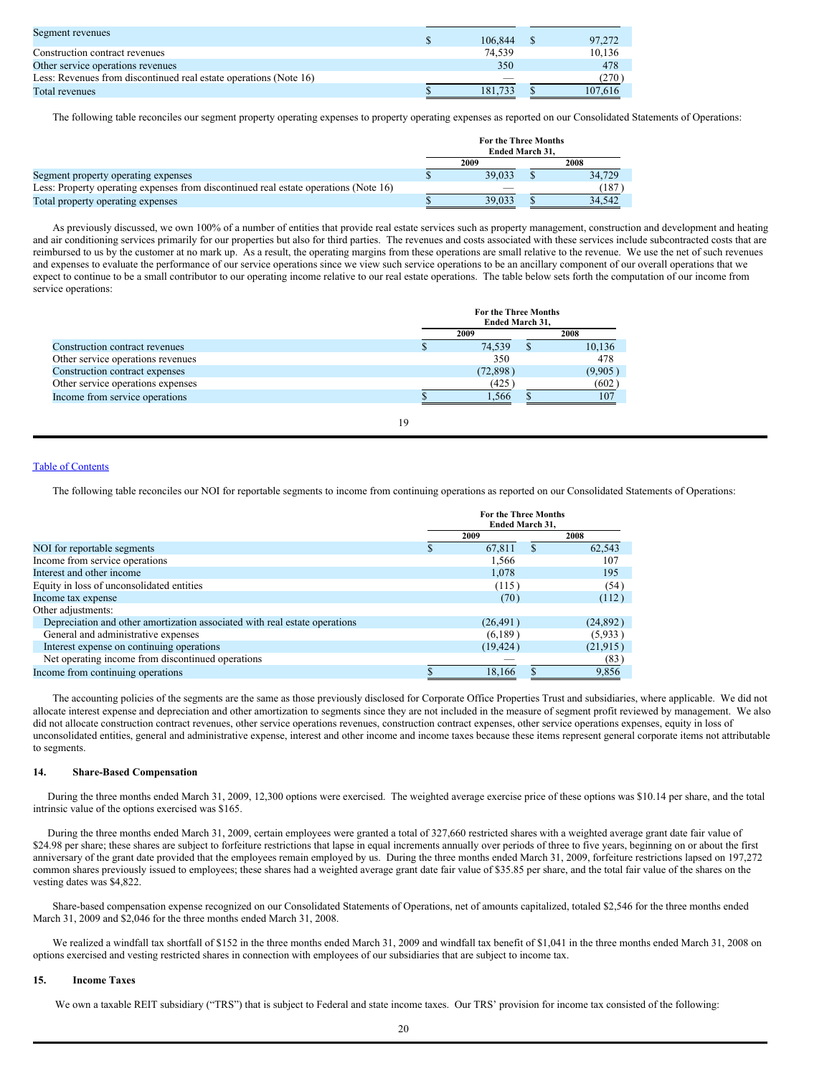| Segment revenues                                                  | 106,844 | 97.272  |
|-------------------------------------------------------------------|---------|---------|
| Construction contract revenues                                    | 74.539  | 10.136  |
| Other service operations revenues                                 | 350     | 478     |
| Less: Revenues from discontinued real estate operations (Note 16) |         | (270)   |
| Total revenues                                                    | 181.733 | 107.616 |

The following table reconciles our segment property operating expenses to property operating expenses as reported on our Consolidated Statements of Operations:

|                                                                                      | <b>For the Three Months</b><br><b>Ended March 31.</b> |  |        |  |
|--------------------------------------------------------------------------------------|-------------------------------------------------------|--|--------|--|
|                                                                                      | 2009                                                  |  | 2008   |  |
| Segment property operating expenses                                                  | 39,033                                                |  | 34.729 |  |
| Less: Property operating expenses from discontinued real estate operations (Note 16) |                                                       |  | (187   |  |
| Total property operating expenses                                                    | 39.033                                                |  | 34.542 |  |

As previously discussed, we own 100% of a number of entities that provide real estate services such as property management, construction and development and heating and air conditioning services primarily for our properties but also for third parties. The revenues and costs associated with these services include subcontracted costs that are reimbursed to us by the customer at no mark up. As a result, the operating margins from these operations are small relative to the revenue. We use the net of such revenues and expenses to evaluate the performance of our service operations since we view such service operations to be an ancillary component of our overall operations that we expect to continue to be a small contributor to our operating income relative to our real estate operations. The table below sets forth the computation of our income from service operations:

| <b>For the Three Months</b><br><b>Ended March 31.</b> |      |         |  |  |
|-------------------------------------------------------|------|---------|--|--|
|                                                       |      | 2008    |  |  |
| 74.539                                                |      | 10,136  |  |  |
| 350                                                   |      | 478     |  |  |
| (72, 898)                                             |      | (9,905) |  |  |
| (425)                                                 |      | (602)   |  |  |
| 1.566                                                 |      | 107     |  |  |
|                                                       | 2009 |         |  |  |

| ×             |
|---------------|
| ۰.<br>۰,<br>٧ |

#### Table of [Contents](#page-0-0)

The following table reconciles our NOI for reportable segments to income from continuing operations as reported on our Consolidated Statements of Operations:

|                                                                            | <b>For the Three Months</b><br>Ended March 31, |           |   |           |
|----------------------------------------------------------------------------|------------------------------------------------|-----------|---|-----------|
|                                                                            |                                                | 2009      |   | 2008      |
| NOI for reportable segments                                                |                                                | 67.811    | S | 62,543    |
| Income from service operations                                             |                                                | 1,566     |   | 107       |
| Interest and other income                                                  |                                                | 1.078     |   | 195       |
| Equity in loss of unconsolidated entities                                  |                                                | (115)     |   | (54)      |
| Income tax expense                                                         |                                                | (70)      |   | (112)     |
| Other adjustments:                                                         |                                                |           |   |           |
| Depreciation and other amortization associated with real estate operations |                                                | (26, 491) |   | (24, 892) |
| General and administrative expenses                                        |                                                | (6,189)   |   | (5,933)   |
| Interest expense on continuing operations                                  |                                                | (19, 424) |   | (21, 915) |
| Net operating income from discontinued operations                          |                                                |           |   | (83)      |
| Income from continuing operations                                          |                                                | 18,166    |   | 9,856     |

The accounting policies of the segments are the same as those previously disclosed for Corporate Office Properties Trust and subsidiaries, where applicable. We did not allocate interest expense and depreciation and other amortization to segments since they are not included in the measure of segment profit reviewed by management. We also did not allocate construction contract revenues, other service operations revenues, construction contract expenses, other service operations expenses, equity in loss of unconsolidated entities, general and administrative expense, interest and other income and income taxes because these items represent general corporate items not attributable to segments.

## **14. Share-Based Compensation**

During the three months ended March 31, 2009, 12,300 options were exercised. The weighted average exercise price of these options was \$10.14 per share, and the total intrinsic value of the options exercised was \$165.

During the three months ended March 31, 2009, certain employees were granted a total of 327,660 restricted shares with a weighted average grant date fair value of \$24.98 per share; these shares are subject to forfeiture restrictions that lapse in equal increments annually over periods of three to five years, beginning on or about the first anniversary of the grant date provided that the employees remain employed by us. During the three months ended March 31, 2009, forfeiture restrictions lapsed on 197,272 common shares previously issued to employees; these shares had a weighted average grant date fair value of \$35.85 per share, and the total fair value of the shares on the vesting dates was \$4,822.

Share-based compensation expense recognized on our Consolidated Statements of Operations, net of amounts capitalized, totaled \$2,546 for the three months ended March 31, 2009 and \$2,046 for the three months ended March 31, 2008.

We realized a windfall tax shortfall of \$152 in the three months ended March 31, 2009 and windfall tax benefit of \$1,041 in the three months ended March 31, 2008 on options exercised and vesting restricted shares in connection with employees of our subsidiaries that are subject to income tax.

# **15. Income Taxes**

We own a taxable REIT subsidiary ("TRS") that is subject to Federal and state income taxes. Our TRS' provision for income tax consisted of the following: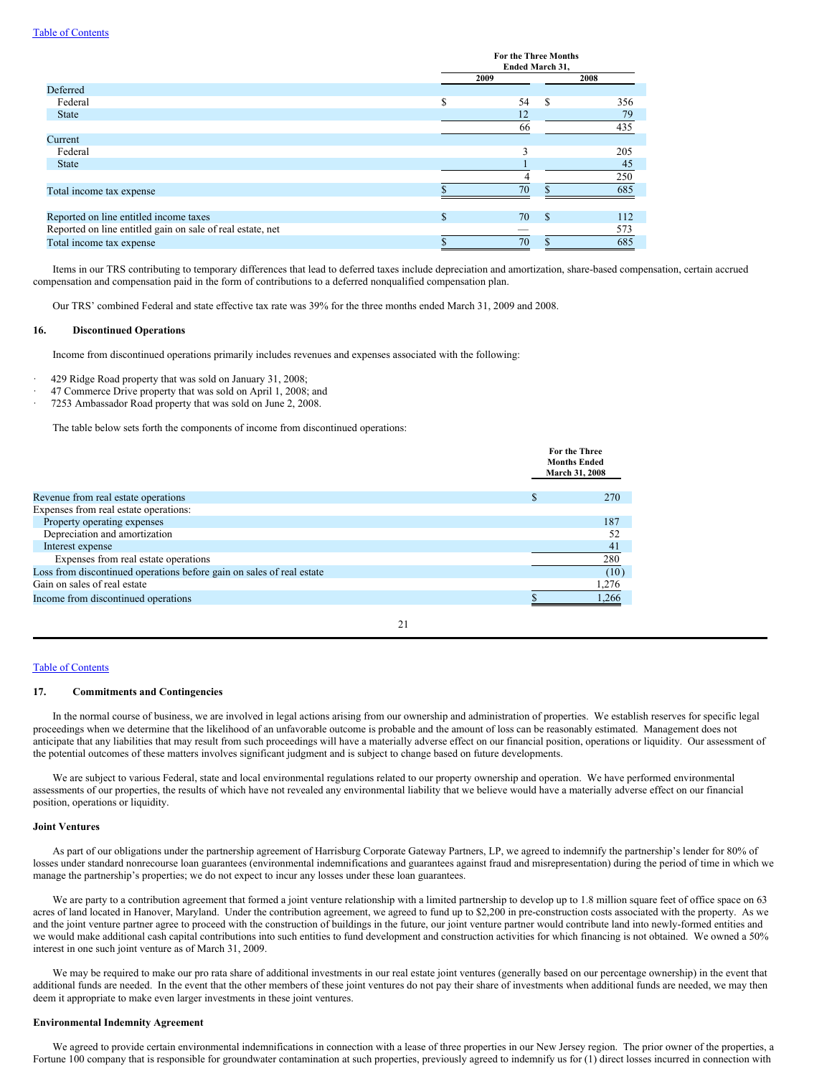|                                                            |      | For the Three Months<br>Ended March 31, |               |     |  |  |
|------------------------------------------------------------|------|-----------------------------------------|---------------|-----|--|--|
|                                                            | 2009 |                                         | 2008          |     |  |  |
| Deferred                                                   |      |                                         |               |     |  |  |
| Federal                                                    | S    | 54                                      | \$.           | 356 |  |  |
| <b>State</b>                                               |      | 12                                      |               | 79  |  |  |
|                                                            |      | 66                                      |               | 435 |  |  |
| Current                                                    |      |                                         |               |     |  |  |
| Federal                                                    |      | 3                                       |               | 205 |  |  |
| <b>State</b>                                               |      |                                         |               | 45  |  |  |
|                                                            |      |                                         |               | 250 |  |  |
| Total income tax expense                                   |      | 70                                      |               | 685 |  |  |
|                                                            |      |                                         |               |     |  |  |
| Reported on line entitled income taxes                     | \$.  | 70                                      | <sup>\$</sup> | 112 |  |  |
| Reported on line entitled gain on sale of real estate, net |      |                                         |               | 573 |  |  |
| Total income tax expense                                   |      | 70                                      |               | 685 |  |  |

Items in our TRS contributing to temporary differences that lead to deferred taxes include depreciation and amortization, share-based compensation, certain accrued compensation and compensation paid in the form of contributions to a deferred nonqualified compensation plan.

Our TRS' combined Federal and state effective tax rate was 39% for the three months ended March 31, 2009 and 2008.

## **16. Discontinued Operations**

Income from discontinued operations primarily includes revenues and expenses associated with the following:

- · 429 Ridge Road property that was sold on January 31, 2008;
- · 47 Commerce Drive property that was sold on April 1, 2008; and
- · 7253 Ambassador Road property that was sold on June 2, 2008.

The table below sets forth the components of income from discontinued operations:

|                                                                       |   | <b>For the Three</b><br><b>Months Ended</b><br>March 31, 2008 |
|-----------------------------------------------------------------------|---|---------------------------------------------------------------|
| Revenue from real estate operations                                   | S | 270                                                           |
| Expenses from real estate operations:                                 |   |                                                               |
| Property operating expenses                                           |   | 187                                                           |
| Depreciation and amortization                                         |   | 52                                                            |
| Interest expense                                                      |   | 41                                                            |
| Expenses from real estate operations                                  |   | 280                                                           |
| Loss from discontinued operations before gain on sales of real estate |   | (10)                                                          |
| Gain on sales of real estate                                          |   | 1,276                                                         |
| Income from discontinued operations                                   |   | .266                                                          |

21

#### Table of [Contents](#page-0-0)

## **17. Commitments and Contingencies**

In the normal course of business, we are involved in legal actions arising from our ownership and administration of properties. We establish reserves for specific legal proceedings when we determine that the likelihood of an unfavorable outcome is probable and the amount of loss can be reasonably estimated. Management does not anticipate that any liabilities that may result from such proceedings will have a materially adverse effect on our financial position, operations or liquidity. Our assessment of the potential outcomes of these matters involves significant judgment and is subject to change based on future developments.

We are subject to various Federal, state and local environmental regulations related to our property ownership and operation. We have performed environmental assessments of our properties, the results of which have not revealed any environmental liability that we believe would have a materially adverse effect on our financial position, operations or liquidity.

## **Joint Ventures**

As part of our obligations under the partnership agreement of Harrisburg Corporate Gateway Partners, LP, we agreed to indemnify the partnership's lender for 80% of losses under standard nonrecourse loan guarantees (environmental indemnifications and guarantees against fraud and misrepresentation) during the period of time in which we manage the partnership's properties; we do not expect to incur any losses under these loan guarantees.

We are party to a contribution agreement that formed a joint venture relationship with a limited partnership to develop up to 1.8 million square feet of office space on 63 acres of land located in Hanover, Maryland. Under the contribution agreement, we agreed to fund up to \$2,200 in pre-construction costs associated with the property. As we and the joint venture partner agree to proceed with the construction of buildings in the future, our joint venture partner would contribute land into newly-formed entities and we would make additional cash capital contributions into such entities to fund development and construction activities for which financing is not obtained. We owned a 50% interest in one such joint venture as of March 31, 2009.

We may be required to make our pro rata share of additional investments in our real estate joint ventures (generally based on our percentage ownership) in the event that additional funds are needed. In the event that the other members of these joint ventures do not pay their share of investments when additional funds are needed, we may then deem it appropriate to make even larger investments in these joint ventures.

# **Environmental Indemnity Agreement**

We agreed to provide certain environmental indemnifications in connection with a lease of three properties in our New Jersey region. The prior owner of the properties, a Fortune 100 company that is responsible for groundwater contamination at such properties, previously agreed to indemnify us for (1) direct losses incurred in connection with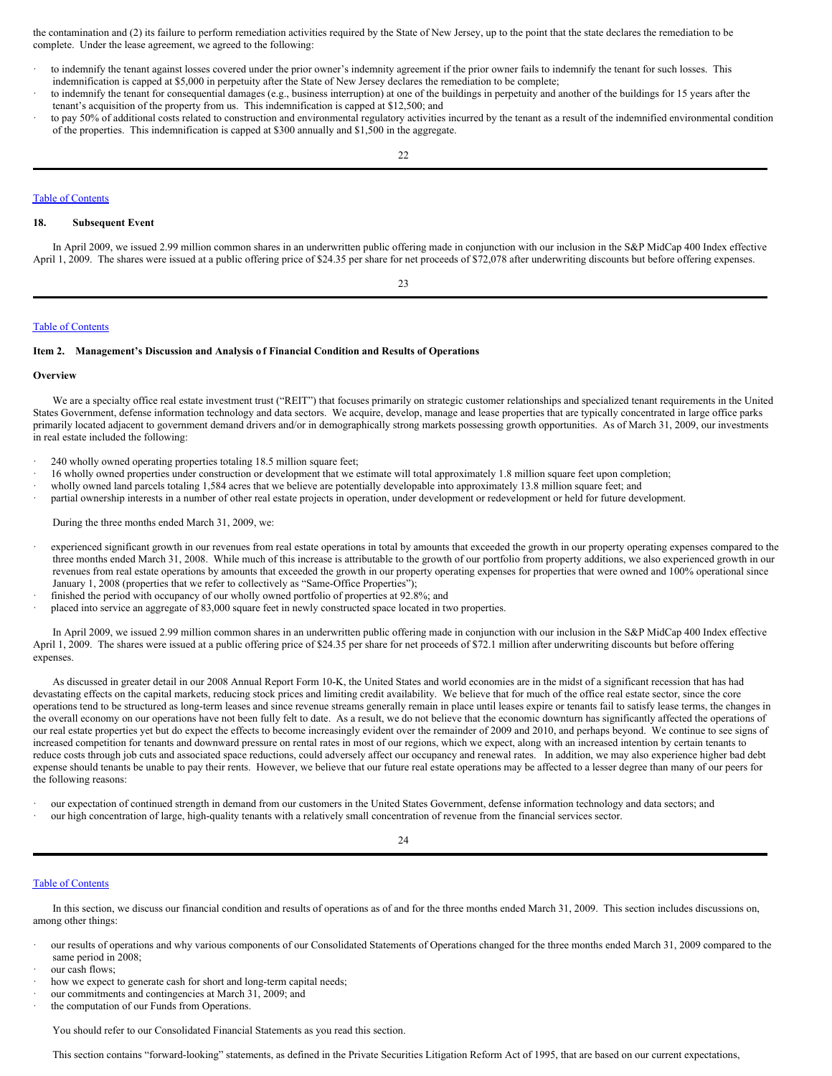the contamination and (2) its failure to perform remediation activities required by the State of New Jersey, up to the point that the state declares the remediation to be complete. Under the lease agreement, we agreed to the following:

- to indemnify the tenant against losses covered under the prior owner's indemnity agreement if the prior owner fails to indemnify the tenant for such losses. This indemnification is capped at \$5,000 in perpetuity after the State of New Jersey declares the remediation to be complete;
- to indemnify the tenant for consequential damages (e.g., business interruption) at one of the buildings in perpetuity and another of the buildings for 15 years after the tenant's acquisition of the property from us. This indemnification is capped at \$12,500; and
- to pay 50% of additional costs related to construction and environmental regulatory activities incurred by the tenant as a result of the indemnified environmental condition of the properties. This indemnification is capped at \$300 annually and \$1,500 in the aggregate.

#### Table of [Contents](#page-0-0)

# **18. Subsequent Event**

In April 2009, we issued 2.99 million common shares in an underwritten public offering made in conjunction with our inclusion in the S&P MidCap 400 Index effective April 1, 2009. The shares were issued at a public offering price of \$24.35 per share for net proceeds of \$72,078 after underwriting discounts but before offering expenses.

<span id="page-13-0"></span>23

# Table of [Contents](#page-0-0)

## **Item 2. Management's Discussion and Analysis o f Financial Condition and Results of Operations**

#### **Overview**

We are a specialty office real estate investment trust ("REIT") that focuses primarily on strategic customer relationships and specialized tenant requirements in the United States Government, defense information technology and data sectors. We acquire, develop, manage and lease properties that are typically concentrated in large office parks primarily located adjacent to government demand drivers and/or in demographically strong markets possessing growth opportunities. As of March 31, 2009, our investments in real estate included the following:

- 240 wholly owned operating properties totaling 18.5 million square feet;
- · 16 wholly owned properties under construction or development that we estimate will total approximately 1.8 million square feet upon completion;
- · wholly owned land parcels totaling 1,584 acres that we believe are potentially developable into approximately 13.8 million square feet; and
- · partial ownership interests in a number of other real estate projects in operation, under development or redevelopment or held for future development.

During the three months ended March 31, 2009, we:

- · experienced significant growth in our revenues from real estate operations in total by amounts that exceeded the growth in our property operating expenses compared to the three months ended March 31, 2008. While much of this increase is attributable to the growth of our portfolio from property additions, we also experienced growth in our revenues from real estate operations by amounts that exceeded the growth in our property operating expenses for properties that were owned and 100% operational since January 1, 2008 (properties that we refer to collectively as "Same-Office Properties");
- finished the period with occupancy of our wholly owned portfolio of properties at 92.8%; and
- · placed into service an aggregate of 83,000 square feet in newly constructed space located in two properties.

In April 2009, we issued 2.99 million common shares in an underwritten public offering made in conjunction with our inclusion in the S&P MidCap 400 Index effective April 1, 2009. The shares were issued at a public offering price of \$24.35 per share for net proceeds of \$72.1 million after underwriting discounts but before offering expenses.

As discussed in greater detail in our 2008 Annual Report Form 10-K, the United States and world economies are in the midst of a significant recession that has had devastating effects on the capital markets, reducing stock prices and limiting credit availability. We believe that for much of the office real estate sector, since the core operations tend to be structured as long-term leases and since revenue streams generally remain in place until leases expire or tenants fail to satisfy lease terms, the changes in the overall economy on our operations have not been fully felt to date. As a result, we do not believe that the economic downturn has significantly affected the operations of our real estate properties yet but do expect the effects to become increasingly evident over the remainder of 2009 and 2010, and perhaps beyond. We continue to see signs of increased competition for tenants and downward pressure on rental rates in most of our regions, which we expect, along with an increased intention by certain tenants to reduce costs through job cuts and associated space reductions, could adversely affect our occupancy and renewal rates. In addition, we may also experience higher bad debt expense should tenants be unable to pay their rents. However, we believe that our future real estate operations may be affected to a lesser degree than many of our peers for the following reasons:

- · our expectation of continued strength in demand from our customers in the United States Government, defense information technology and data sectors; and
- · our high concentration of large, high-quality tenants with a relatively small concentration of revenue from the financial services sector.

#### $24$

#### Table of [Contents](#page-0-0)

In this section, we discuss our financial condition and results of operations as of and for the three months ended March 31, 2009. This section includes discussions on, among other things:

- our results of operations and why various components of our Consolidated Statements of Operations changed for the three months ended March 31, 2009 compared to the same period in 2008;
- our cash flows:
- how we expect to generate cash for short and long-term capital needs;
- our commitments and contingencies at March 31, 2009; and
- the computation of our Funds from Operations.

You should refer to our Consolidated Financial Statements as you read this section.

This section contains "forward-looking" statements, as defined in the Private Securities Litigation Reform Act of 1995, that are based on our current expectations,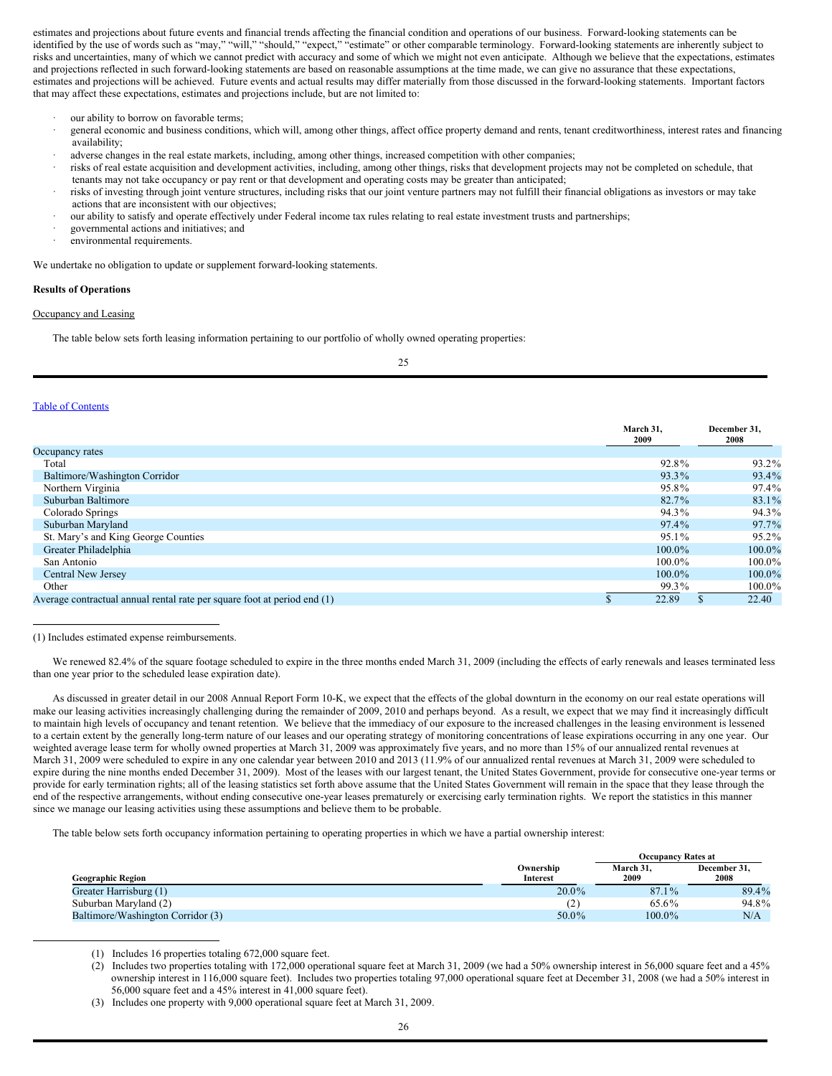estimates and projections about future events and financial trends affecting the financial condition and operations of our business. Forward-looking statements can be identified by the use of words such as "may," "will," "should," "expect," "estimate" or other comparable terminology. Forward-looking statements are inherently subject to risks and uncertainties, many of which we cannot predict with accuracy and some of which we might not even anticipate. Although we believe that the expectations, estimates and projections reflected in such forward-looking statements are based on reasonable assumptions at the time made, we can give no assurance that these expectations, estimates and projections will be achieved. Future events and actual results may differ materially from those discussed in the forward-looking statements. Important factors that may affect these expectations, estimates and projections include, but are not limited to:

- our ability to borrow on favorable terms;
- · general economic and business conditions, which will, among other things, affect office property demand and rents, tenant creditworthiness, interest rates and financing availability;
- adverse changes in the real estate markets, including, among other things, increased competition with other companies;
- · risks of real estate acquisition and development activities, including, among other things, risks that development projects may not be completed on schedule, that tenants may not take occupancy or pay rent or that development and operating costs may be greater than anticipated;
- · risks of investing through joint venture structures, including risks that our joint venture partners may not fulfill their financial obligations as investors or may take actions that are inconsistent with our objectives;
- our ability to satisfy and operate effectively under Federal income tax rules relating to real estate investment trusts and partnerships;
- · governmental actions and initiatives; and
- environmental requirements.

We undertake no obligation to update or supplement forward-looking statements.

## **Results of Operations**

## Occupancy and Leasing

The table below sets forth leasing information pertaining to our portfolio of wholly owned operating properties:

| ł<br>×, |               |  |
|---------|---------------|--|
| I       | ۰.<br>×<br>۰, |  |

#### Table of [Contents](#page-0-0)

|                                                                          | March 31,<br>2009 | December 31,<br>2008 |
|--------------------------------------------------------------------------|-------------------|----------------------|
| Occupancy rates                                                          |                   |                      |
| Total                                                                    | 92.8%             | 93.2%                |
| Baltimore/Washington Corridor                                            | 93.3%             | 93.4%                |
| Northern Virginia                                                        | 95.8%             | 97.4%                |
| Suburban Baltimore                                                       | 82.7%             | 83.1%                |
| Colorado Springs                                                         | 94.3%             | 94.3%                |
| Suburban Maryland                                                        | 97.4%             | 97.7%                |
| St. Mary's and King George Counties                                      | 95.1%             | 95.2%                |
| Greater Philadelphia                                                     | $100.0\%$         | $100.0\%$            |
| San Antonio                                                              | $100.0\%$         | 100.0%               |
| Central New Jersey                                                       | $100.0\%$         | 100.0%               |
| Other                                                                    | 99.3%             | 100.0%               |
| Average contractual annual rental rate per square foot at period end (1) | 22.89             | 22.40                |

(1) Includes estimated expense reimbursements.

We renewed 82.4% of the square footage scheduled to expire in the three months ended March 31, 2009 (including the effects of early renewals and leases terminated less than one year prior to the scheduled lease expiration date).

As discussed in greater detail in our 2008 Annual Report Form 10-K, we expect that the effects of the global downturn in the economy on our real estate operations will make our leasing activities increasingly challenging during the remainder of 2009, 2010 and perhaps beyond. As a result, we expect that we may find it increasingly difficult to maintain high levels of occupancy and tenant retention. We believe that the immediacy of our exposure to the increased challenges in the leasing environment is lessened to a certain extent by the generally long-term nature of our leases and our operating strategy of monitoring concentrations of lease expirations occurring in any one year. Our weighted average lease term for wholly owned properties at March 31, 2009 was approximately five years, and no more than 15% of our annualized rental revenues at March 31, 2009 were scheduled to expire in any one calendar year between 2010 and 2013 (11.9% of our annualized rental revenues at March 31, 2009 were scheduled to expire during the nine months ended December 31, 2009). Most of the leases with our largest tenant, the United States Government, provide for consecutive one-year terms or provide for early termination rights; all of the leasing statistics set forth above assume that the United States Government will remain in the space that they lease through the end of the respective arrangements, without ending consecutive one-year leases prematurely or exercising early termination rights. We report the statistics in this manner since we manage our leasing activities using these assumptions and believe them to be probable.

The table below sets forth occupancy information pertaining to operating properties in which we have a partial ownership interest:

|                                   |                              | <b>Occupancy Rates at</b> |                      |  |
|-----------------------------------|------------------------------|---------------------------|----------------------|--|
| <b>Geographic Region</b>          | Ownership<br><b>Interest</b> | March 31.<br>2009         | December 31,<br>2008 |  |
|                                   |                              |                           |                      |  |
| Greater Harrisburg (1)            | $20.0\%$                     | 87.1%                     | 89.4%                |  |
| Suburban Maryland (2)             | $\cdot$ 4 $\cdot$            | 65.6%                     | 94.8%                |  |
| Baltimore/Washington Corridor (3) | 50.0%                        | $100.0\%$                 | N/A                  |  |

(1) Includes 16 properties totaling 672,000 square feet.

(2) Includes two properties totaling with 172,000 operational square feet at March 31, 2009 (we had a 50% ownership interest in 56,000 square feet and a 45% ownership interest in 116,000 square feet). Includes two properties totaling 97,000 operational square feet at December 31, 2008 (we had a 50% interest in 56,000 square feet and a 45% interest in 41,000 square feet).

(3) Includes one property with 9,000 operational square feet at March 31, 2009.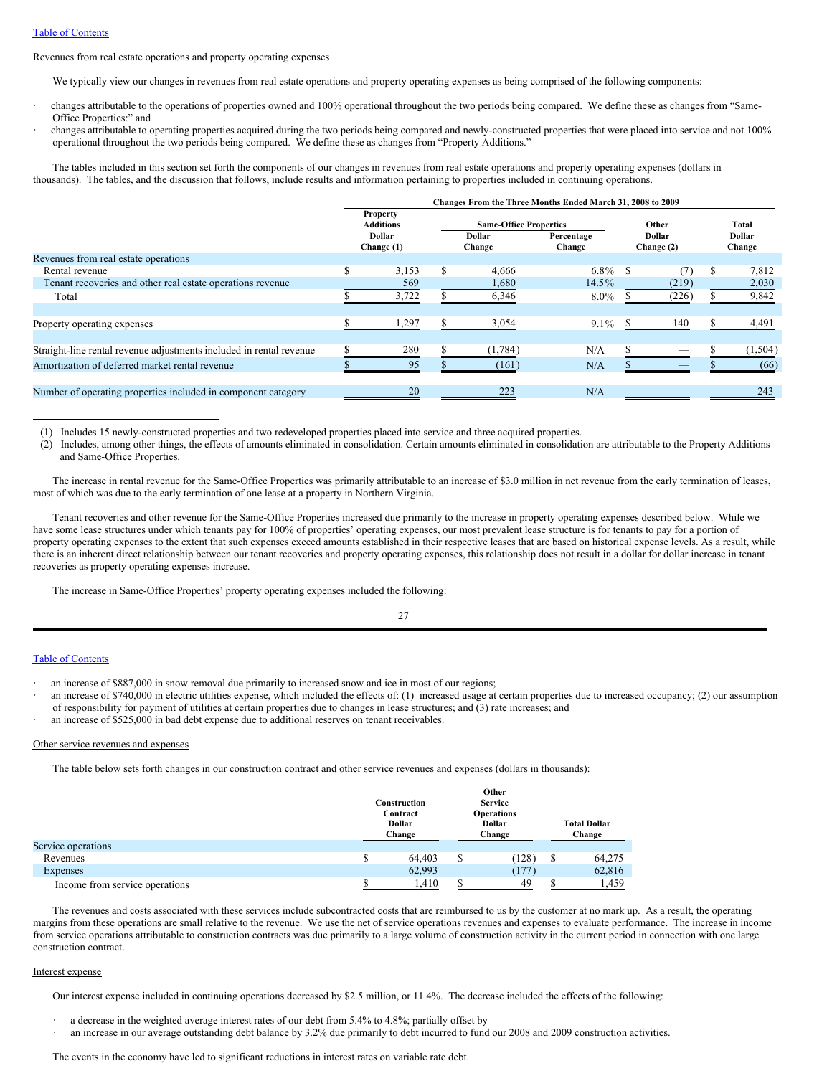## Revenues from real estate operations and property operating expenses

We typically view our changes in revenues from real estate operations and property operating expenses as being comprised of the following components:

- · changes attributable to the operations of properties owned and 100% operational throughout the two periods being compared. We define these as changes from "Same-Office Properties:" and
- · changes attributable to operating properties acquired during the two periods being compared and newly-constructed properties that were placed into service and not 100% operational throughout the two periods being compared. We define these as changes from "Property Additions."

The tables included in this section set forth the components of our changes in revenues from real estate operations and property operating expenses (dollars in thousands). The tables, and the discussion that follows, include results and information pertaining to properties included in continuing operations.

|                                                                     |   |                                               |   |                                         | Changes From the Three Months Ended March 31, 2008 to 2009 |    |                        |   |                        |
|---------------------------------------------------------------------|---|-----------------------------------------------|---|-----------------------------------------|------------------------------------------------------------|----|------------------------|---|------------------------|
|                                                                     |   | <b>Property</b><br><b>Additions</b><br>Dollar |   | <b>Same-Office Properties</b><br>Dollar | Percentage                                                 |    | Other<br><b>Dollar</b> |   | Total<br><b>Dollar</b> |
|                                                                     |   | Change (1)                                    |   | Change                                  | Change                                                     |    | Change (2)             |   | Change                 |
| Revenues from real estate operations                                |   |                                               |   |                                         |                                                            |    |                        |   |                        |
| Rental revenue                                                      | S | 3,153                                         | ъ | 4,666                                   | $6.8\%$                                                    | -8 | 7                      | ъ | 7,812                  |
| Tenant recoveries and other real estate operations revenue          |   | 569                                           |   | 1,680                                   | $14.5\%$                                                   |    | (219)                  |   | 2,030                  |
| Total                                                               |   | 3,722                                         |   | 6,346                                   | $8.0\%$                                                    |    | (226)                  |   | 9,842                  |
| Property operating expenses                                         |   | ,297                                          |   | 3,054                                   | $9.1\%$                                                    |    | 140                    |   | 4,491                  |
| Straight-line rental revenue adjustments included in rental revenue |   | 280                                           |   | (1, 784)                                | N/A                                                        |    |                        |   | (1,504)                |
| Amortization of deferred market rental revenue                      |   | 95                                            |   | (161)                                   | N/A                                                        |    |                        |   | (66)                   |
| Number of operating properties included in component category       |   | 20                                            |   | 223                                     | N/A                                                        |    |                        |   | 243                    |

(1) Includes 15 newly-constructed properties and two redeveloped properties placed into service and three acquired properties.

(2) Includes, among other things, the effects of amounts eliminated in consolidation. Certain amounts eliminated in consolidation are attributable to the Property Additions and Same-Office Properties.

The increase in rental revenue for the Same-Office Properties was primarily attributable to an increase of \$3.0 million in net revenue from the early termination of leases, most of which was due to the early termination of one lease at a property in Northern Virginia.

Tenant recoveries and other revenue for the Same-Office Properties increased due primarily to the increase in property operating expenses described below. While we have some lease structures under which tenants pay for 100% of properties' operating expenses, our most prevalent lease structure is for tenants to pay for a portion of property operating expenses to the extent that such expenses exceed amounts established in their respective leases that are based on historical expense levels. As a result, while there is an inherent direct relationship between our tenant recoveries and property operating expenses, this relationship does not result in a dollar for dollar increase in tenant recoveries as property operating expenses increase.

The increase in Same-Office Properties' property operating expenses included the following:

27

## Table of [Contents](#page-0-0)

- an increase of \$887,000 in snow removal due primarily to increased snow and ice in most of our regions;
- an increase of \$740,000 in electric utilities expense, which included the effects of: (1) increased usage at certain properties due to increased occupancy; (2) our assumption of responsibility for payment of utilities at certain properties due to changes in lease structures; and (3) rate increases; and
- an increase of \$525,000 in bad debt expense due to additional reserves on tenant receivables.

### Other service revenues and expenses

The table below sets forth changes in our construction contract and other service revenues and expenses (dollars in thousands):

|                                |   | Construction<br>Contract<br><b>Dollar</b><br>Change |   | Other<br><b>Service</b><br><b>Operations</b><br>Dollar<br>Change |   | <b>Total Dollar</b><br>Change |
|--------------------------------|---|-----------------------------------------------------|---|------------------------------------------------------------------|---|-------------------------------|
| Service operations             |   |                                                     |   |                                                                  |   |                               |
| Revenues                       | ъ | 64,403                                              | S | (128)                                                            | S | 64,275                        |
| Expenses                       |   | 62,993                                              |   | (177)                                                            |   | 62,816                        |
| Income from service operations |   | 1.410                                               |   | 49                                                               |   | 1,459                         |

The revenues and costs associated with these services include subcontracted costs that are reimbursed to us by the customer at no mark up. As a result, the operating margins from these operations are small relative to the revenue. We use the net of service operations revenues and expenses to evaluate performance. The increase in income from service operations attributable to construction contracts was due primarily to a large volume of construction activity in the current period in connection with one large construction contract.

#### Interest expense

Our interest expense included in continuing operations decreased by \$2.5 million, or 11.4%. The decrease included the effects of the following:

- a decrease in the weighted average interest rates of our debt from 5.4% to 4.8%; partially offset by
- an increase in our average outstanding debt balance by 3.2% due primarily to debt incurred to fund our 2008 and 2009 construction activities.

The events in the economy have led to significant reductions in interest rates on variable rate debt.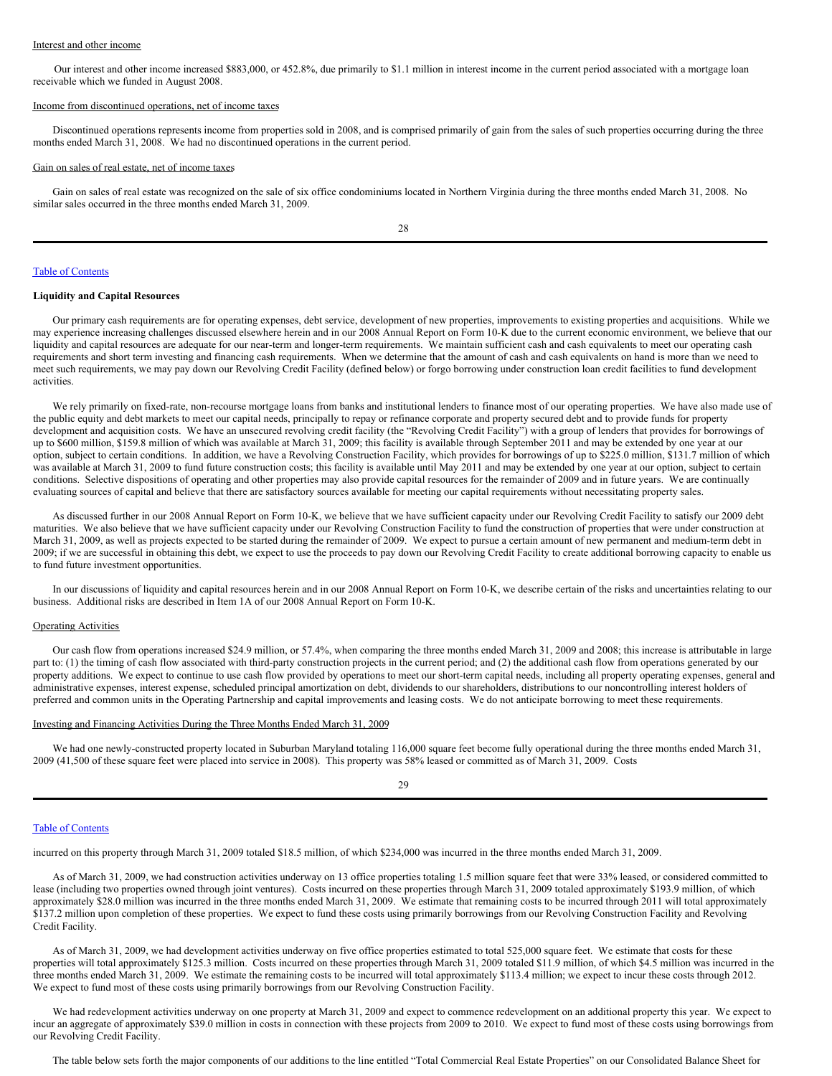#### Interest and other income

Our interest and other income increased \$883,000, or 452.8%, due primarily to \$1.1 million in interest income in the current period associated with a mortgage loan receivable which we funded in August 2008.

#### Income from discontinued operations, net of income taxes

Discontinued operations represents income from properties sold in 2008, and is comprised primarily of gain from the sales of such properties occurring during the three months ended March 31, 2008. We had no discontinued operations in the current period.

#### Gain on sales of real estate, net of income taxes

Gain on sales of real estate was recognized on the sale of six office condominiums located in Northern Virginia during the three months ended March 31, 2008. No similar sales occurred in the three months ended March 31, 2009.

#### Table of [Contents](#page-0-0)

#### **Liquidity and Capital Resources**

Our primary cash requirements are for operating expenses, debt service, development of new properties, improvements to existing properties and acquisitions. While we may experience increasing challenges discussed elsewhere herein and in our 2008 Annual Report on Form 10-K due to the current economic environment, we believe that our liquidity and capital resources are adequate for our near-term and longer-term requirements. We maintain sufficient cash and cash equivalents to meet our operating cash requirements and short term investing and financing cash requirements. When we determine that the amount of cash and cash equivalents on hand is more than we need to meet such requirements, we may pay down our Revolving Credit Facility (defined below) or forgo borrowing under construction loan credit facilities to fund development activities.

We rely primarily on fixed-rate, non-recourse mortgage loans from banks and institutional lenders to finance most of our operating properties. We have also made use of the public equity and debt markets to meet our capital needs, principally to repay or refinance corporate and property secured debt and to provide funds for property development and acquisition costs. We have an unsecured revolving credit facility (the "Revolving Credit Facility") with a group of lenders that provides for borrowings of up to \$600 million, \$159.8 million of which was available at March 31, 2009; this facility is available through September 2011 and may be extended by one year at our option, subject to certain conditions. In addition, we have a Revolving Construction Facility, which provides for borrowings of up to \$225.0 million, \$131.7 million of which was available at March 31, 2009 to fund future construction costs; this facility is available until May 2011 and may be extended by one year at our option, subject to certain conditions. Selective dispositions of operating and other properties may also provide capital resources for the remainder of 2009 and in future years. We are continually evaluating sources of capital and believe that there are satisfactory sources available for meeting our capital requirements without necessitating property sales.

As discussed further in our 2008 Annual Report on Form 10-K, we believe that we have sufficient capacity under our Revolving Credit Facility to satisfy our 2009 debt maturities. We also believe that we have sufficient capacity under our Revolving Construction Facility to fund the construction of properties that were under construction at March 31, 2009, as well as projects expected to be started during the remainder of 2009. We expect to pursue a certain amount of new permanent and medium-term debt in 2009; if we are successful in obtaining this debt, we expect to use the proceeds to pay down our Revolving Credit Facility to create additional borrowing capacity to enable us to fund future investment opportunities.

In our discussions of liquidity and capital resources herein and in our 2008 Annual Report on Form 10-K, we describe certain of the risks and uncertainties relating to our business. Additional risks are described in Item 1A of our 2008 Annual Report on Form 10-K.

#### Operating Activities

Our cash flow from operations increased \$24.9 million, or 57.4%, when comparing the three months ended March 31, 2009 and 2008; this increase is attributable in large part to: (1) the timing of cash flow associated with third-party construction projects in the current period; and (2) the additional cash flow from operations generated by our property additions. We expect to continue to use cash flow provided by operations to meet our short-term capital needs, including all property operating expenses, general and administrative expenses, interest expense, scheduled principal amortization on debt, dividends to our shareholders, distributions to our noncontrolling interest holders of preferred and common units in the Operating Partnership and capital improvements and leasing costs. We do not anticipate borrowing to meet these requirements.

## Investing and Financing Activities During the Three Months Ended March 31, 2009

We had one newly-constructed property located in Suburban Maryland totaling 116,000 square feet become fully operational during the three months ended March 31, 2009 (41,500 of these square feet were placed into service in 2008). This property was 58% leased or committed as of March 31, 2009. Costs

# 29

#### Table of [Contents](#page-0-0)

incurred on this property through March 31, 2009 totaled \$18.5 million, of which \$234,000 was incurred in the three months ended March 31, 2009.

As of March 31, 2009, we had construction activities underway on 13 office properties totaling 1.5 million square feet that were 33% leased, or considered committed to lease (including two properties owned through joint ventures). Costs incurred on these properties through March 31, 2009 totaled approximately \$193.9 million, of which approximately \$28.0 million was incurred in the three months ended March 31, 2009. We estimate that remaining costs to be incurred through 2011 will total approximately \$137.2 million upon completion of these properties. We expect to fund these costs using primarily borrowings from our Revolving Construction Facility and Revolving Credit Facility.

As of March 31, 2009, we had development activities underway on five office properties estimated to total 525,000 square feet. We estimate that costs for these properties will total approximately \$125.3 million. Costs incurred on these properties through March 31, 2009 totaled \$11.9 million, of which \$4.5 million was incurred in the three months ended March 31, 2009. We estimate the remaining costs to be incurred will total approximately \$113.4 million; we expect to incur these costs through 2012. We expect to fund most of these costs using primarily borrowings from our Revolving Construction Facility.

We had redevelopment activities underway on one property at March 31, 2009 and expect to commence redevelopment on an additional property this year. We expect to incur an aggregate of approximately \$39.0 million in costs in connection with these projects from 2009 to 2010. We expect to fund most of these costs using borrowings from our Revolving Credit Facility.

The table below sets forth the major components of our additions to the line entitled "Total Commercial Real Estate Properties" on our Consolidated Balance Sheet for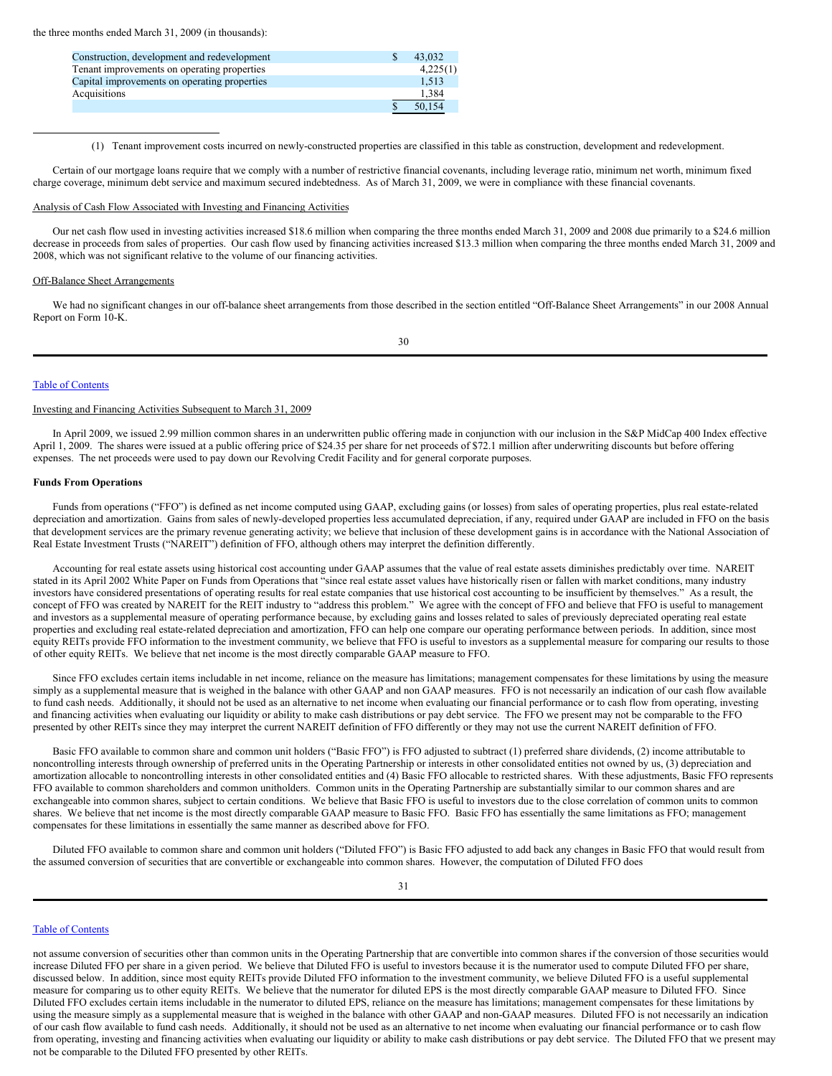the three months ended March 31, 2009 (in thousands):

| Construction, development and redevelopment  | 43,032   |
|----------------------------------------------|----------|
| Tenant improvements on operating properties  | 4,225(1) |
| Capital improvements on operating properties | 1,513    |
| Acquisitions                                 | 1.384    |
|                                              | 50.154   |

(1) Tenant improvement costs incurred on newly-constructed properties are classified in this table as construction, development and redevelopment.

Certain of our mortgage loans require that we comply with a number of restrictive financial covenants, including leverage ratio, minimum net worth, minimum fixed charge coverage, minimum debt service and maximum secured indebtedness. As of March 31, 2009, we were in compliance with these financial covenants.

# Analysis of Cash Flow Associated with Investing and Financing Activities

Our net cash flow used in investing activities increased \$18.6 million when comparing the three months ended March 31, 2009 and 2008 due primarily to a \$24.6 million decrease in proceeds from sales of properties. Our cash flow used by financing activities increased \$13.3 million when comparing the three months ended March 31, 2009 and 2008, which was not significant relative to the volume of our financing activities.

## Off-Balance Sheet Arrangements

We had no significant changes in our off-balance sheet arrangements from those described in the section entitled "Off-Balance Sheet Arrangements" in our 2008 Annual Report on Form 10-K.

30

### Table of [Contents](#page-0-0)

# Investing and Financing Activities Subsequent to March 31, 2009

In April 2009, we issued 2.99 million common shares in an underwritten public offering made in conjunction with our inclusion in the S&P MidCap 400 Index effective April 1, 2009. The shares were issued at a public offering price of \$24.35 per share for net proceeds of \$72.1 million after underwriting discounts but before offering expenses. The net proceeds were used to pay down our Revolving Credit Facility and for general corporate purposes.

#### **Funds From Operations**

Funds from operations ("FFO") is defined as net income computed using GAAP, excluding gains (or losses) from sales of operating properties, plus real estate-related depreciation and amortization. Gains from sales of newly-developed properties less accumulated depreciation, if any, required under GAAP are included in FFO on the basis that development services are the primary revenue generating activity; we believe that inclusion of these development gains is in accordance with the National Association of Real Estate Investment Trusts ("NAREIT") definition of FFO, although others may interpret the definition differently.

Accounting for real estate assets using historical cost accounting under GAAP assumes that the value of real estate assets diminishes predictably over time. NAREIT stated in its April 2002 White Paper on Funds from Operations that "since real estate asset values have historically risen or fallen with market conditions, many industry investors have considered presentations of operating results for real estate companies that use historical cost accounting to be insufficient by themselves." As a result, the concept of FFO was created by NAREIT for the REIT industry to "address this problem." We agree with the concept of FFO and believe that FFO is useful to management and investors as a supplemental measure of operating performance because, by excluding gains and losses related to sales of previously depreciated operating real estate properties and excluding real estate-related depreciation and amortization, FFO can help one compare our operating performance between periods. In addition, since most equity REITs provide FFO information to the investment community, we believe that FFO is useful to investors as a supplemental measure for comparing our results to those of other equity REITs. We believe that net income is the most directly comparable GAAP measure to FFO.

Since FFO excludes certain items includable in net income, reliance on the measure has limitations; management compensates for these limitations by using the measure simply as a supplemental measure that is weighed in the balance with other GAAP and non GAAP measures. FFO is not necessarily an indication of our cash flow available to fund cash needs. Additionally, it should not be used as an alternative to net income when evaluating our financial performance or to cash flow from operating, investing and financing activities when evaluating our liquidity or ability to make cash distributions or pay debt service. The FFO we present may not be comparable to the FFO presented by other REITs since they may interpret the current NAREIT definition of FFO differently or they may not use the current NAREIT definition of FFO.

Basic FFO available to common share and common unit holders ("Basic FFO") is FFO adjusted to subtract (1) preferred share dividends, (2) income attributable to noncontrolling interests through ownership of preferred units in the Operating Partnership or interests in other consolidated entities not owned by us, (3) depreciation and amortization allocable to noncontrolling interests in other consolidated entities and (4) Basic FFO allocable to restricted shares. With these adjustments, Basic FFO represents FFO available to common shareholders and common unitholders. Common units in the Operating Partnership are substantially similar to our common shares and are exchangeable into common shares, subject to certain conditions. We believe that Basic FFO is useful to investors due to the close correlation of common units to common shares. We believe that net income is the most directly comparable GAAP measure to Basic FFO. Basic FFO has essentially the same limitations as FFO; management compensates for these limitations in essentially the same manner as described above for FFO.

Diluted FFO available to common share and common unit holders ("Diluted FFO") is Basic FFO adjusted to add back any changes in Basic FFO that would result from the assumed conversion of securities that are convertible or exchangeable into common shares. However, the computation of Diluted FFO does

#### Table of [Contents](#page-0-0)

not assume conversion of securities other than common units in the Operating Partnership that are convertible into common shares if the conversion of those securities would increase Diluted FFO per share in a given period. We believe that Diluted FFO is useful to investors because it is the numerator used to compute Diluted FFO per share, discussed below. In addition, since most equity REITs provide Diluted FFO information to the investment community, we believe Diluted FFO is a useful supplemental measure for comparing us to other equity REITs. We believe that the numerator for diluted EPS is the most directly comparable GAAP measure to Diluted FFO. Since Diluted FFO excludes certain items includable in the numerator to diluted EPS, reliance on the measure has limitations; management compensates for these limitations by using the measure simply as a supplemental measure that is weighed in the balance with other GAAP and non-GAAP measures. Diluted FFO is not necessarily an indication of our cash flow available to fund cash needs. Additionally, it should not be used as an alternative to net income when evaluating our financial performance or to cash flow from operating, investing and financing activities when evaluating our liquidity or ability to make cash distributions or pay debt service. The Diluted FFO that we present may not be comparable to the Diluted FFO presented by other REITs.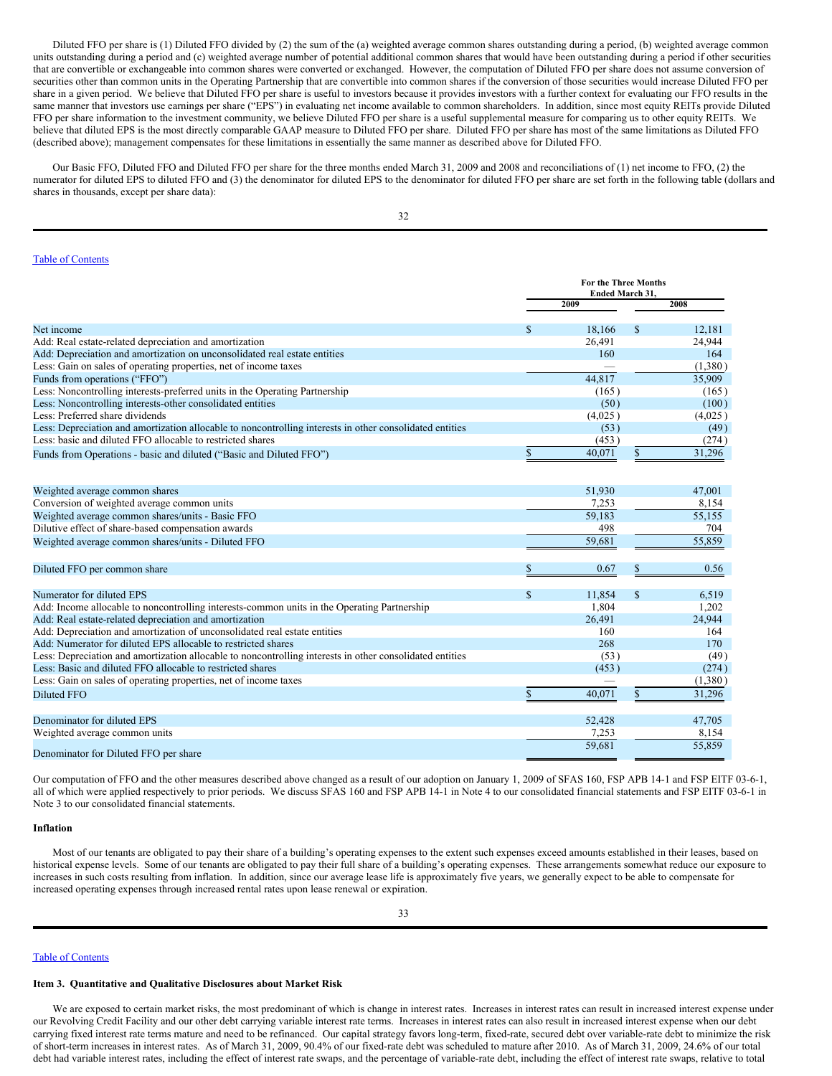Diluted FFO per share is (1) Diluted FFO divided by (2) the sum of the (a) weighted average common shares outstanding during a period, (b) weighted average common units outstanding during a period and (c) weighted average number of potential additional common shares that would have been outstanding during a period if other securities that are convertible or exchangeable into common shares were converted or exchanged. However, the computation of Diluted FFO per share does not assume conversion of securities other than common units in the Operating Partnership that are convertible into common shares if the conversion of those securities would increase Diluted FFO per share in a given period. We believe that Diluted FFO per share is useful to investors because it provides investors with a further context for evaluating our FFO results in the same manner that investors use earnings per share ("EPS") in evaluating net income available to common shareholders. In addition, since most equity REITs provide Diluted FFO per share information to the investment community, we believe Diluted FFO per share is a useful supplemental measure for comparing us to other equity REITs. We believe that diluted EPS is the most directly comparable GAAP measure to Diluted FFO per share. Diluted FFO per share has most of the same limitations as Diluted FFO (described above); management compensates for these limitations in essentially the same manner as described above for Diluted FFO.

Our Basic FFO, Diluted FFO and Diluted FFO per share for the three months ended March 31, 2009 and 2008 and reconciliations of (1) net income to FFO, (2) the numerator for diluted EPS to diluted FFO and (3) the denominator for diluted EPS to the denominator for diluted FFO per share are set forth in the following table (dollars and shares in thousands, except per share data):

| I<br>I<br>×<br>۰. | ۰. |
|-------------------|----|

#### Table of [Contents](#page-0-0)

|                                                                                                          | <b>For the Three Months</b><br><b>Ended March 31.</b> |         |              |         |  |
|----------------------------------------------------------------------------------------------------------|-------------------------------------------------------|---------|--------------|---------|--|
|                                                                                                          |                                                       | 2009    |              | 2008    |  |
| Net income                                                                                               | S                                                     | 18,166  | $\mathbb{S}$ | 12,181  |  |
| Add: Real estate-related depreciation and amortization                                                   |                                                       | 26,491  |              | 24,944  |  |
| Add: Depreciation and amortization on unconsolidated real estate entities                                |                                                       | 160     |              | 164     |  |
| Less: Gain on sales of operating properties, net of income taxes                                         |                                                       |         |              | (1,380) |  |
| Funds from operations ("FFO")                                                                            |                                                       | 44,817  |              | 35,909  |  |
| Less: Noncontrolling interests-preferred units in the Operating Partnership                              |                                                       | (165)   |              | (165)   |  |
| Less: Noncontrolling interests-other consolidated entities                                               |                                                       | (50)    |              | (100)   |  |
| Less: Preferred share dividends                                                                          |                                                       | (4,025) |              | (4,025) |  |
| Less: Depreciation and amortization allocable to noncontrolling interests in other consolidated entities |                                                       | (53)    |              | (49)    |  |
| Less: basic and diluted FFO allocable to restricted shares                                               |                                                       | (453)   |              | (274)   |  |
| Funds from Operations - basic and diluted ("Basic and Diluted FFO")                                      | \$                                                    | 40,071  | \$           | 31,296  |  |
|                                                                                                          |                                                       |         |              |         |  |
| Weighted average common shares                                                                           |                                                       | 51,930  |              | 47,001  |  |
| Conversion of weighted average common units                                                              |                                                       | 7,253   |              | 8,154   |  |
| Weighted average common shares/units - Basic FFO                                                         |                                                       | 59,183  |              | 55,155  |  |
| Dilutive effect of share-based compensation awards                                                       |                                                       | 498     |              | 704     |  |
| Weighted average common shares/units - Diluted FFO                                                       |                                                       | 59,681  |              | 55,859  |  |
| Diluted FFO per common share                                                                             |                                                       | 0.67    | \$           | 0.56    |  |
|                                                                                                          |                                                       |         |              |         |  |
| Numerator for diluted EPS                                                                                | \$.                                                   | 11,854  | \$           | 6,519   |  |
| Add: Income allocable to noncontrolling interests-common units in the Operating Partnership              |                                                       | 1,804   |              | 1,202   |  |
| Add: Real estate-related depreciation and amortization                                                   |                                                       | 26,491  |              | 24,944  |  |
| Add: Depreciation and amortization of unconsolidated real estate entities                                |                                                       | 160     |              | 164     |  |
| Add: Numerator for diluted EPS allocable to restricted shares                                            |                                                       | 268     |              | 170     |  |
| Less: Depreciation and amortization allocable to noncontrolling interests in other consolidated entities |                                                       | (53)    |              | (49)    |  |
| Less: Basic and diluted FFO allocable to restricted shares                                               |                                                       | (453)   |              | (274)   |  |
| Less: Gain on sales of operating properties, net of income taxes                                         |                                                       |         |              | (1,380) |  |
| <b>Diluted FFO</b>                                                                                       |                                                       | 40,071  | \$           | 31,296  |  |
| Denominator for diluted EPS                                                                              |                                                       | 52,428  |              | 47,705  |  |
| Weighted average common units                                                                            |                                                       | 7,253   |              | 8,154   |  |
| Denominator for Diluted FFO per share                                                                    |                                                       | 59,681  |              | 55,859  |  |
|                                                                                                          |                                                       |         |              |         |  |

Our computation of FFO and the other measures described above changed as a result of our adoption on January 1, 2009 of SFAS 160, FSP APB 14-1 and FSP EITF 03-6-1, all of which were applied respectively to prior periods. We discuss SFAS 160 and FSP APB 14-1 in Note 4 to our consolidated financial statements and FSP EITF 03-6-1 in Note 3 to our consolidated financial statements.

#### **Inflation**

Most of our tenants are obligated to pay their share of a building's operating expenses to the extent such expenses exceed amounts established in their leases, based on historical expense levels. Some of our tenants are obligated to pay their full share of a building's operating expenses. These arrangements somewhat reduce our exposure to increases in such costs resulting from inflation. In addition, since our average lease life is approximately five years, we generally expect to be able to compensate for increased operating expenses through increased rental rates upon lease renewal or expiration.

#### Table of [Contents](#page-0-0)

# <span id="page-18-0"></span>**Item 3. Quantitative and Qualitative Disclosures about Market Risk**

We are exposed to certain market risks, the most predominant of which is change in interest rates. Increases in interest rates can result in increased interest expense under our Revolving Credit Facility and our other debt carrying variable interest rate terms. Increases in interest rates can also result in increased interest expense when our debt carrying fixed interest rate terms mature and need to be refinanced. Our capital strategy favors long-term, fixed-rate, secured debt over variable-rate debt to minimize the risk of short-term increases in interest rates. As of March 31, 2009, 90.4% of our fixed-rate debt was scheduled to mature after 2010. As of March 31, 2009, 24.6% of our total debt had variable interest rates, including the effect of interest rate swaps, and the percentage of variable-rate debt, including the effect of interest rate swaps, relative to total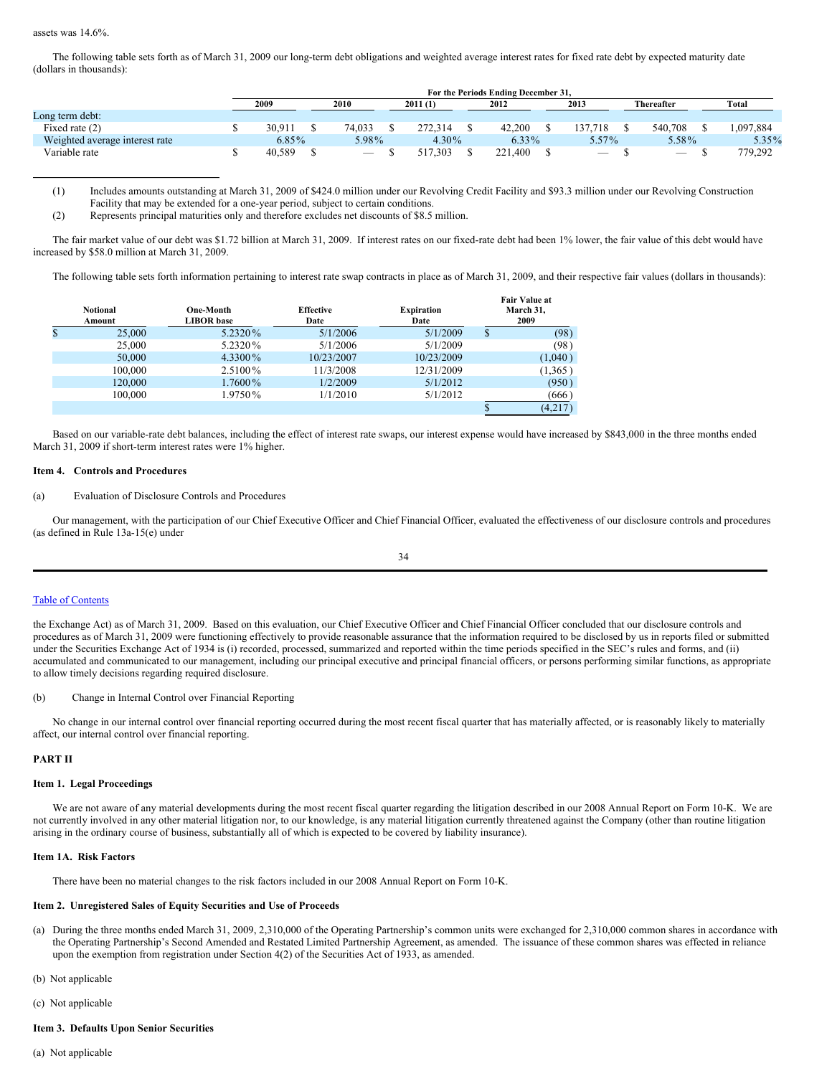#### assets was 14.6%.

The following table sets forth as of March 31, 2009 our long-term debt obligations and weighted average interest rates for fixed rate debt by expected maturity date (dollars in thousands):

|                                | For the Periods Ending December 31, |  |                                 |  |         |  |          |  |          |            |  |           |
|--------------------------------|-------------------------------------|--|---------------------------------|--|---------|--|----------|--|----------|------------|--|-----------|
|                                | 2009                                |  | 2010                            |  | 2011(1) |  | 2012     |  | 2013     | Thereafter |  | Total     |
| Long term debt:                |                                     |  |                                 |  |         |  |          |  |          |            |  |           |
| Fixed rate $(2)$               | 30.911                              |  | 74.033                          |  | 272.314 |  | 42.200   |  | 137.718  | 540,708    |  | 1,097,884 |
| Weighted average interest rate | 6.85%                               |  | 5.98%                           |  | 4.30%   |  | $6.33\%$ |  | $5.57\%$ | 5.58%      |  | 5.35%     |
| Variable rate                  | 40.589                              |  | $\hspace{0.1mm}-\hspace{0.1mm}$ |  | 517.303 |  | 221,400  |  |          |            |  | 779.292   |

(1) Includes amounts outstanding at March 31, 2009 of \$424.0 million under our Revolving Credit Facility and \$93.3 million under our Revolving Construction Facility that may be extended for a one-year period, subject to certain conditions.

(2) Represents principal maturities only and therefore excludes net discounts of \$8.5 million.

The fair market value of our debt was \$1.72 billion at March 31, 2009. If interest rates on our fixed-rate debt had been 1% lower, the fair value of this debt would have increased by \$58.0 million at March 31, 2009.

The following table sets forth information pertaining to interest rate swap contracts in place as of March 31, 2009, and their respective fair values (dollars in thousands):

|   | <b>Notional</b><br>Amount | One-Month<br><b>LIBOR</b> base | <b>Effective</b><br>Date | <b>Expiration</b><br>Date | Fair Value at<br>March 31,<br>2009 |
|---|---------------------------|--------------------------------|--------------------------|---------------------------|------------------------------------|
| S | 25,000                    | 5.2320 %                       | 5/1/2006                 | 5/1/2009                  | \$<br>(98)                         |
|   | 25,000                    | 5.2320 %                       | 5/1/2006                 | 5/1/2009                  | (98)                               |
|   | 50,000                    | $4.3300\%$                     | 10/23/2007               | 10/23/2009                | (1,040)                            |
|   | 100,000                   | $2.5100\%$                     | 11/3/2008                | 12/31/2009                | (1,365)                            |
|   | 120,000                   | 1.7600%                        | 1/2/2009                 | 5/1/2012                  | (950)                              |
|   | 100,000                   | 1.9750 %                       | 1/1/2010                 | 5/1/2012                  | (666)                              |
|   |                           |                                |                          |                           | (4,217)                            |

Based on our variable-rate debt balances, including the effect of interest rate swaps, our interest expense would have increased by \$843,000 in the three months ended March 31, 2009 if short-term interest rates were 1% higher.

#### <span id="page-19-0"></span>**Item 4. Controls and Procedures**

(a) Evaluation of Disclosure Controls and Procedures

Our management, with the participation of our Chief Executive Officer and Chief Financial Officer, evaluated the effectiveness of our disclosure controls and procedures (as defined in Rule 13a-15(e) under

#### 34

#### Table of [Contents](#page-0-0)

the Exchange Act) as of March 31, 2009. Based on this evaluation, our Chief Executive Officer and Chief Financial Officer concluded that our disclosure controls and procedures as of March 31, 2009 were functioning effectively to provide reasonable assurance that the information required to be disclosed by us in reports filed or submitted under the Securities Exchange Act of 1934 is (i) recorded, processed, summarized and reported within the time periods specified in the SEC's rules and forms, and (ii) accumulated and communicated to our management, including our principal executive and principal financial officers, or persons performing similar functions, as appropriate to allow timely decisions regarding required disclosure.

(b) Change in Internal Control over Financial Reporting

No change in our internal control over financial reporting occurred during the most recent fiscal quarter that has materially affected, or is reasonably likely to materially affect, our internal control over financial reporting.

#### <span id="page-19-1"></span>**PART II**

#### <span id="page-19-2"></span>**Item 1. Legal Proceedings**

We are not aware of any material developments during the most recent fiscal quarter regarding the litigation described in our 2008 Annual Report on Form 10-K. We are not currently involved in any other material litigation nor, to our knowledge, is any material litigation currently threatened against the Company (other than routine litigation arising in the ordinary course of business, substantially all of which is expected to be covered by liability insurance).

#### **Item 1A. Risk Factors**

<span id="page-19-4"></span><span id="page-19-3"></span>There have been no material changes to the risk factors included in our 2008 Annual Report on Form 10-K.

#### **Item 2. Unregistered Sales of Equity Securities and Use of Proceeds**

- (a) During the three months ended March 31, 2009, 2,310,000 of the Operating Partnership's common units were exchanged for 2,310,000 common shares in accordance with the Operating Partnership's Second Amended and Restated Limited Partnership Agreement, as amended. The issuance of these common shares was effected in reliance upon the exemption from registration under Section 4(2) of the Securities Act of 1933, as amended.
- (b) Not applicable

(c) Not applicable

#### <span id="page-19-5"></span>**Item 3. Defaults Upon Senior Securities**

(a) Not applicable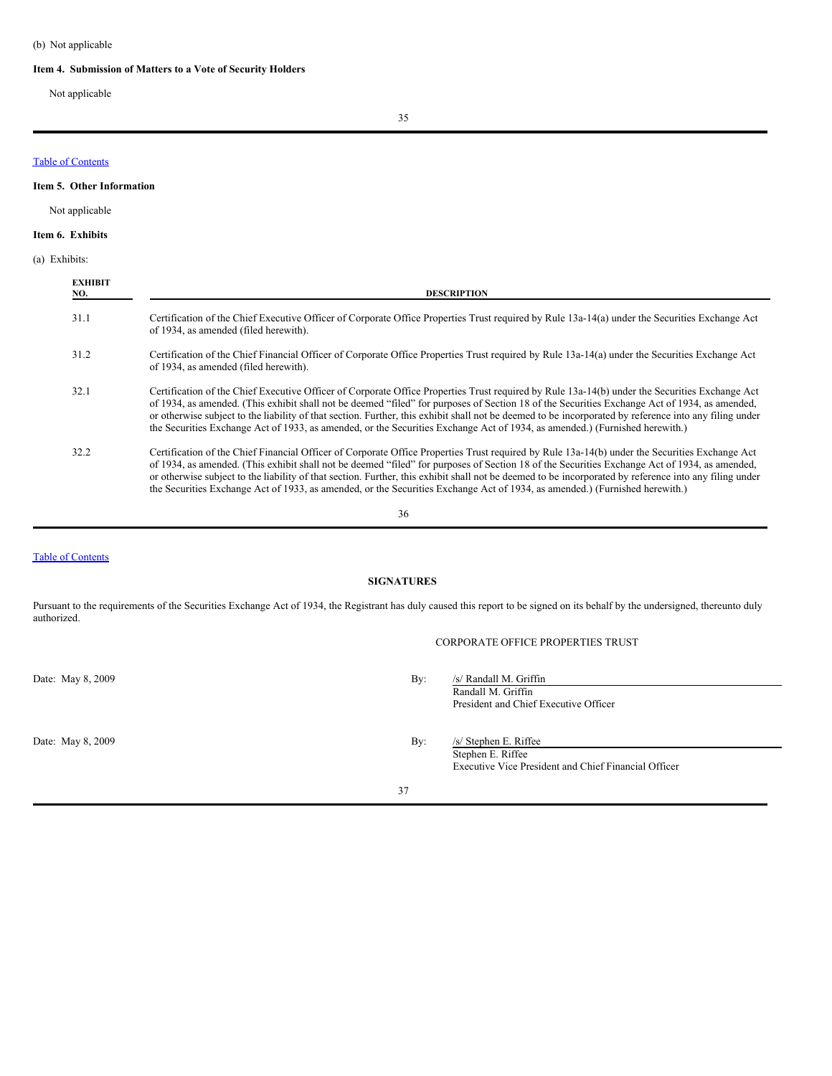# **Item 4. Submission of Matters to a Vote of Security Holders**

Not applicable

<span id="page-20-0"></span>35

# Table of [Contents](#page-0-0)

# **Item 5. Other Information**

<span id="page-20-2"></span><span id="page-20-1"></span>Not applicable

# **Item 6. Exhibits**

(a) Exhibits:

| <b>EXHIBIT</b><br>NO. | <b>DESCRIPTION</b>                                                                                                                                                                                                                                                                                                                                                                                                                                                                                                                                                                       |
|-----------------------|------------------------------------------------------------------------------------------------------------------------------------------------------------------------------------------------------------------------------------------------------------------------------------------------------------------------------------------------------------------------------------------------------------------------------------------------------------------------------------------------------------------------------------------------------------------------------------------|
| 31.1                  | Certification of the Chief Executive Officer of Corporate Office Properties Trust required by Rule 13a-14(a) under the Securities Exchange Act<br>of 1934, as amended (filed herewith).                                                                                                                                                                                                                                                                                                                                                                                                  |
| 31.2                  | Certification of the Chief Financial Officer of Corporate Office Properties Trust required by Rule 13a-14(a) under the Securities Exchange Act<br>of 1934, as amended (filed herewith).                                                                                                                                                                                                                                                                                                                                                                                                  |
| 32.1                  | Certification of the Chief Executive Officer of Corporate Office Properties Trust required by Rule 13a-14(b) under the Securities Exchange Act<br>of 1934, as amended. (This exhibit shall not be deemed "filed" for purposes of Section 18 of the Securities Exchange Act of 1934, as amended,<br>or otherwise subject to the liability of that section. Further, this exhibit shall not be deemed to be incorporated by reference into any filing under<br>the Securities Exchange Act of 1933, as amended, or the Securities Exchange Act of 1934, as amended.) (Furnished herewith.) |
| 32.2                  | Certification of the Chief Financial Officer of Corporate Office Properties Trust required by Rule 13a-14(b) under the Securities Exchange Act<br>of 1934, as amended. (This exhibit shall not be deemed "filed" for purposes of Section 18 of the Securities Exchange Act of 1934, as amended,<br>or otherwise subject to the liability of that section. Further, this exhibit shall not be deemed to be incorporated by reference into any filing under<br>the Securities Exchange Act of 1933, as amended, or the Securities Exchange Act of 1934, as amended.) (Furnished herewith.) |
|                       | $\overline{ }$                                                                                                                                                                                                                                                                                                                                                                                                                                                                                                                                                                           |

36

# Table of [Contents](#page-0-0)

# **SIGNATURES**

Pursuant to the requirements of the Securities Exchange Act of 1934, the Registrant has duly caused this report to be signed on its behalf by the undersigned, thereunto duly authorized.

# <span id="page-20-3"></span>CORPORATE OFFICE PROPERTIES TRUST

| Date: May 8, 2009 | By: | /s/ Randall M. Griffin<br>Randall M. Griffin<br>President and Chief Executive Officer              |
|-------------------|-----|----------------------------------------------------------------------------------------------------|
| Date: May 8, 2009 | By: | /s/ Stephen E. Riffee<br>Stephen E. Riffee<br>Executive Vice President and Chief Financial Officer |
|                   | 37  |                                                                                                    |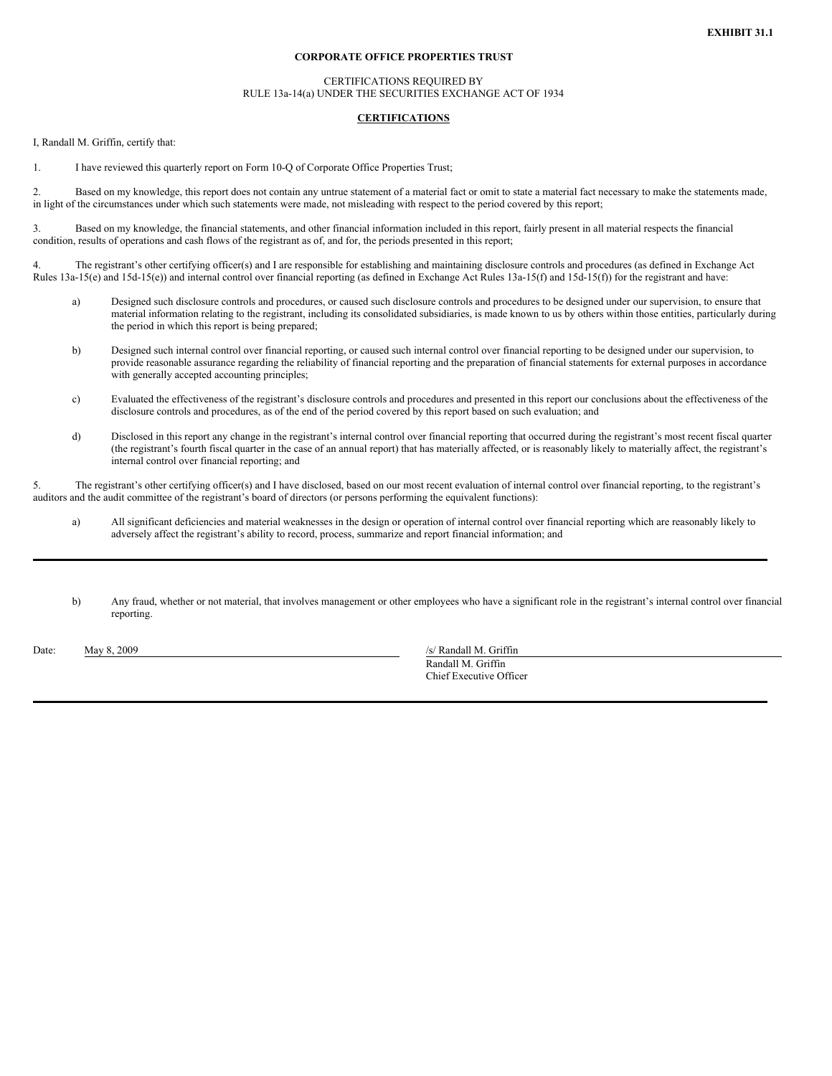# CERTIFICATIONS REQUIRED BY RULE 13a-14(a) UNDER THE SECURITIES EXCHANGE ACT OF 1934

### **CERTIFICATIONS**

I, Randall M. Griffin, certify that:

1. I have reviewed this quarterly report on Form 10-Q of Corporate Office Properties Trust;

2. Based on my knowledge, this report does not contain any untrue statement of a material fact or omit to state a material fact necessary to make the statements made, in light of the circumstances under which such statements were made, not misleading with respect to the period covered by this report;

3. Based on my knowledge, the financial statements, and other financial information included in this report, fairly present in all material respects the financial condition, results of operations and cash flows of the registrant as of, and for, the periods presented in this report;

4. The registrant's other certifying officer(s) and I are responsible for establishing and maintaining disclosure controls and procedures (as defined in Exchange Act Rules 13a-15(e) and 15d-15(e)) and internal control over financial reporting (as defined in Exchange Act Rules 13a-15(f) and 15d-15(f)) for the registrant and have:

- a) Designed such disclosure controls and procedures, or caused such disclosure controls and procedures to be designed under our supervision, to ensure that material information relating to the registrant, including its consolidated subsidiaries, is made known to us by others within those entities, particularly during the period in which this report is being prepared;
- b) Designed such internal control over financial reporting, or caused such internal control over financial reporting to be designed under our supervision, to provide reasonable assurance regarding the reliability of financial reporting and the preparation of financial statements for external purposes in accordance with generally accepted accounting principles;
- c) Evaluated the effectiveness of the registrant's disclosure controls and procedures and presented in this report our conclusions about the effectiveness of the disclosure controls and procedures, as of the end of the period covered by this report based on such evaluation; and
- d) Disclosed in this report any change in the registrant's internal control over financial reporting that occurred during the registrant's most recent fiscal quarter (the registrant's fourth fiscal quarter in the case of an annual report) that has materially affected, or is reasonably likely to materially affect, the registrant's internal control over financial reporting; and

5. The registrant's other certifying officer(s) and I have disclosed, based on our most recent evaluation of internal control over financial reporting, to the registrant's auditors and the audit committee of the registrant's board of directors (or persons performing the equivalent functions):

- a) All significant deficiencies and material weaknesses in the design or operation of internal control over financial reporting which are reasonably likely to adversely affect the registrant's ability to record, process, summarize and report financial information; and
- b) Any fraud, whether or not material, that involves management or other employees who have a significant role in the registrant's internal control over financial reporting.

Date: May 8, 2009 /s/ Randall M. Griffin

Randall M. Griffin Chief Executive Officer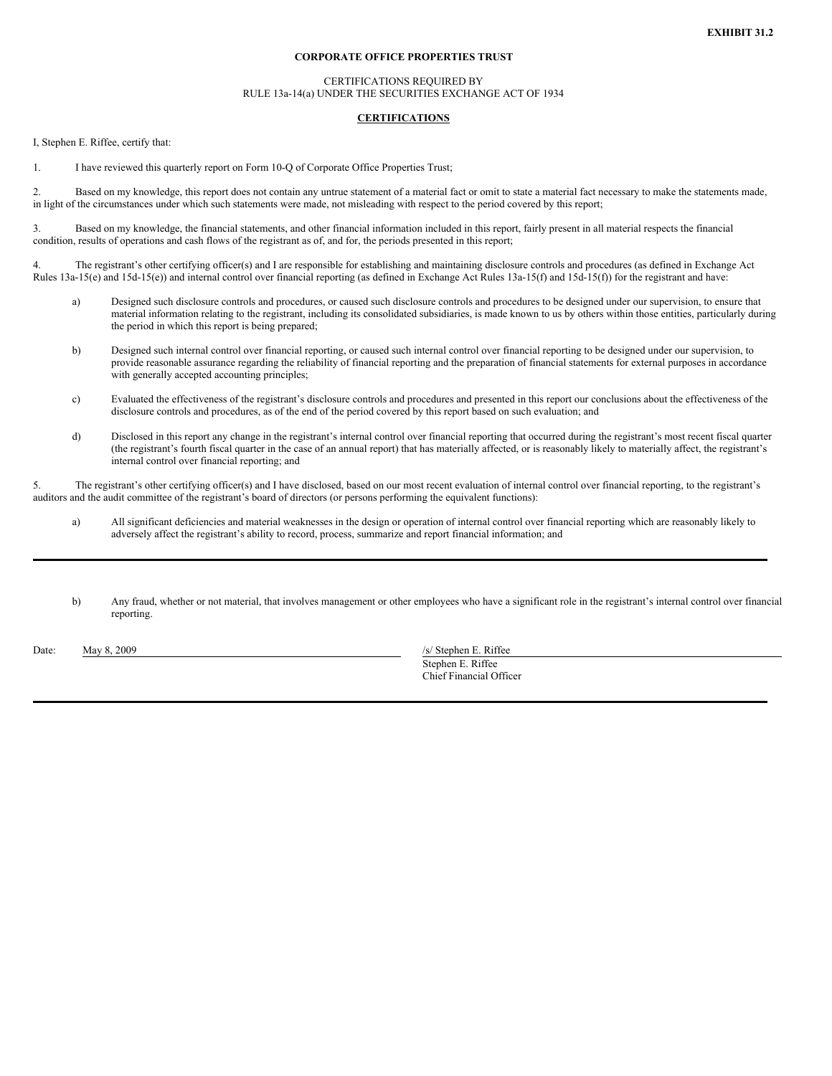# CERTIFICATIONS REQUIRED BY RULE 13a-14(a) UNDER THE SECURITIES EXCHANGE ACT OF 1934

## **CERTIFICATIONS**

I, Stephen E. Riffee, certify that:

1. I have reviewed this quarterly report on Form 10-Q of Corporate Office Properties Trust;

2. Based on my knowledge, this report does not contain any untrue statement of a material fact or omit to state a material fact necessary to make the statements made, in light of the circumstances under which such statements were made, not misleading with respect to the period covered by this report;

3. Based on my knowledge, the financial statements, and other financial information included in this report, fairly present in all material respects the financial condition, results of operations and cash flows of the registrant as of, and for, the periods presented in this report;

4. The registrant's other certifying officer(s) and I are responsible for establishing and maintaining disclosure controls and procedures (as defined in Exchange Act Rules 13a-15(e) and 15d-15(e)) and internal control over financial reporting (as defined in Exchange Act Rules 13a-15(f) and 15d-15(f)) for the registrant and have:

- a) Designed such disclosure controls and procedures, or caused such disclosure controls and procedures to be designed under our supervision, to ensure that material information relating to the registrant, including its consolidated subsidiaries, is made known to us by others within those entities, particularly during the period in which this report is being prepared;
- b) Designed such internal control over financial reporting, or caused such internal control over financial reporting to be designed under our supervision, to provide reasonable assurance regarding the reliability of financial reporting and the preparation of financial statements for external purposes in accordance with generally accepted accounting principles;
- c) Evaluated the effectiveness of the registrant's disclosure controls and procedures and presented in this report our conclusions about the effectiveness of the disclosure controls and procedures, as of the end of the period covered by this report based on such evaluation; and
- d) Disclosed in this report any change in the registrant's internal control over financial reporting that occurred during the registrant's most recent fiscal quarter (the registrant's fourth fiscal quarter in the case of an annual report) that has materially affected, or is reasonably likely to materially affect, the registrant's internal control over financial reporting; and

5. The registrant's other certifying officer(s) and I have disclosed, based on our most recent evaluation of internal control over financial reporting, to the registrant's auditors and the audit committee of the registrant's board of directors (or persons performing the equivalent functions):

- a) All significant deficiencies and material weaknesses in the design or operation of internal control over financial reporting which are reasonably likely to adversely affect the registrant's ability to record, process, summarize and report financial information; and
- b) Any fraud, whether or not material, that involves management or other employees who have a significant role in the registrant's internal control over financial reporting.

Date: May 8, 2009 /s/ Stephen E. Riffee

Stephen E. Riffee Chief Financial Officer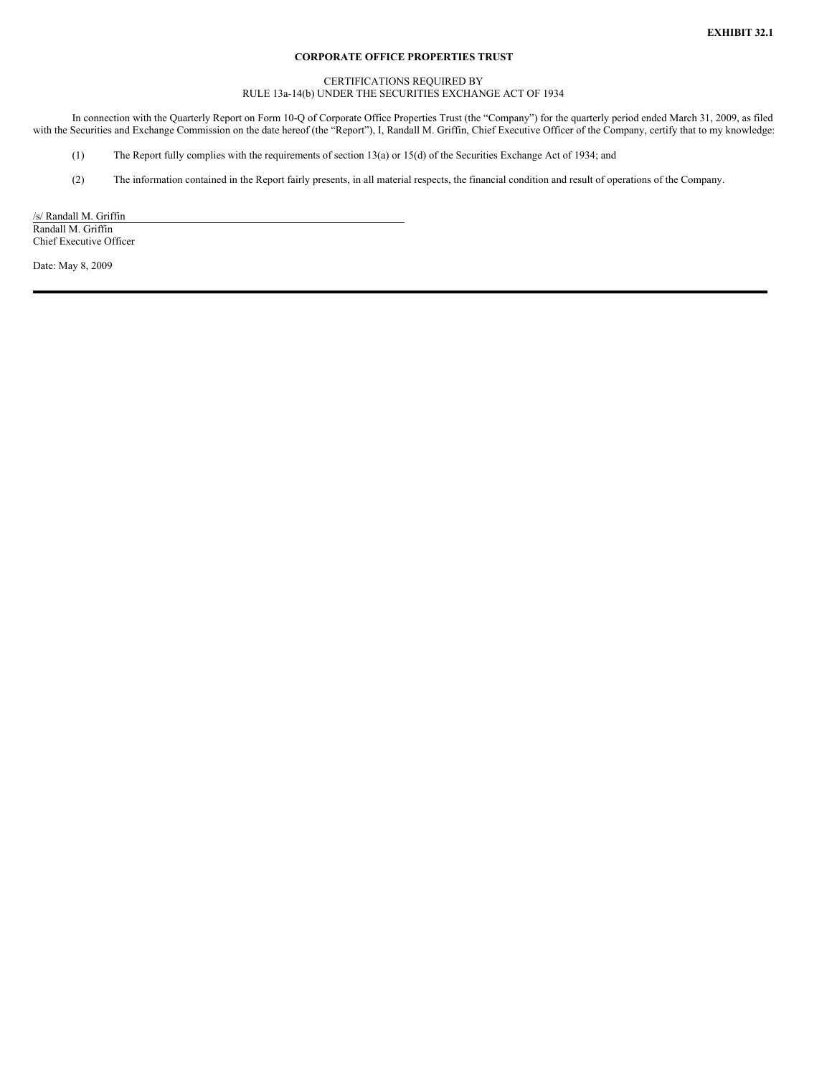# CERTIFICATIONS REQUIRED BY RULE 13a-14(b) UNDER THE SECURITIES EXCHANGE ACT OF 1934

In connection with the Quarterly Report on Form 10-Q of Corporate Office Properties Trust (the "Company") for the quarterly period ended March 31, 2009, as filed with the Securities and Exchange Commission on the date hereof (the "Report"), I, Randall M. Griffin, Chief Executive Officer of the Company, certify that to my knowledge:

- (1) The Report fully complies with the requirements of section 13(a) or 15(d) of the Securities Exchange Act of 1934; and
- (2) The information contained in the Report fairly presents, in all material respects, the financial condition and result of operations of the Company.

/s/ Randall M. Griffin Randall M. Griffin Chief Executive Officer

Date: May 8, 2009